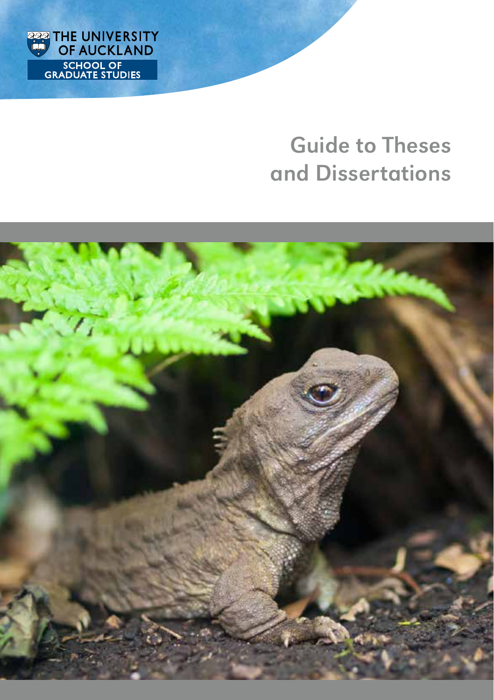

# Guide to Theses and Dissertations

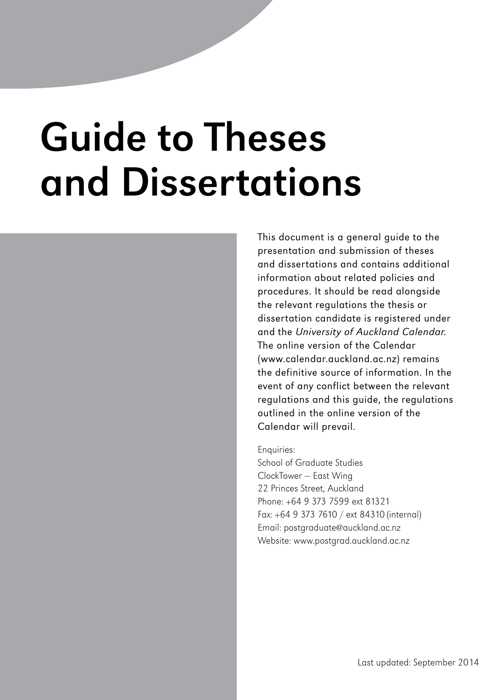# Guide to Theses and Dissertations

This document is a general guide to the presentation and submission of theses and dissertations and contains additional information about related policies and procedures. It should be read alongside the relevant regulations the thesis or dissertation candidate is registered under and the *[University of Auckland Calendar.](http://www.calendar.auckland.ac.nz/)*  The online version of the Calendar (www.calendar.auckland.ac.nz) remains the definitive source of information. In the event of any conflict between the relevant regulations and this guide, the regulations outlined in the online version of the Calendar will prevail.

Enquiries:

School of Graduate Studies ClockTower — East Wing 22 Princes Street, Auckland Phone: +64 9 373 7599 ext 81321 Fax: +64 9 373 7610 / ext 84310 (internal) Email: postgraduate@auckland.ac.nz Website: www.postgrad.auckland.ac.nz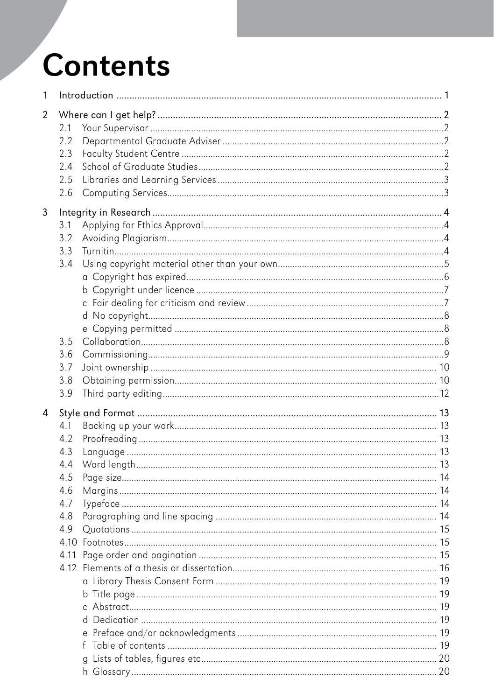# **Contents**

| $\mathbf{1}$ |                                                             |  |  |
|--------------|-------------------------------------------------------------|--|--|
| 2            | 2.1<br>2.2<br>2.3<br>2.4<br>2.5<br>2.6                      |  |  |
| 3            | 3.1<br>3.2<br>3.3<br>3.4<br>3.5<br>3.6<br>3.7<br>3.8<br>3.9 |  |  |
| 4            | 4.1<br>4.2<br>4.3<br>4.4<br>4.5<br>4.6<br>4.7<br>4.8<br>4.9 |  |  |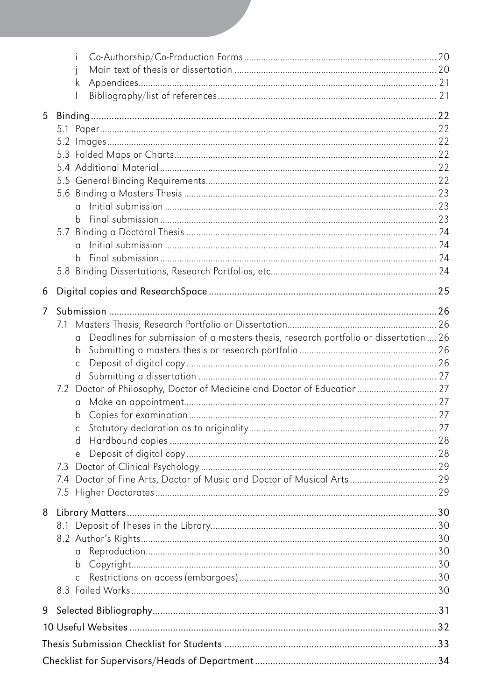|   | i                                                                                           |  |
|---|---------------------------------------------------------------------------------------------|--|
|   | Ť                                                                                           |  |
|   | k                                                                                           |  |
|   | $\overline{1}$                                                                              |  |
| 5 |                                                                                             |  |
|   |                                                                                             |  |
|   |                                                                                             |  |
|   |                                                                                             |  |
|   |                                                                                             |  |
|   |                                                                                             |  |
|   | $\Omega$                                                                                    |  |
|   | b                                                                                           |  |
|   |                                                                                             |  |
|   | $\Omega$                                                                                    |  |
|   | b.                                                                                          |  |
|   |                                                                                             |  |
| 6 |                                                                                             |  |
|   |                                                                                             |  |
| 7 |                                                                                             |  |
|   | 7.1<br>Deadlines for submission of a masters thesis, research portfolio or dissertation  26 |  |
|   | a<br>b                                                                                      |  |
|   | $\mathsf C$                                                                                 |  |
|   | d                                                                                           |  |
|   | 7.2 Doctor of Philosophy, Doctor of Medicine and Doctor of Education 27                     |  |
|   | a                                                                                           |  |
|   | b                                                                                           |  |
|   | C                                                                                           |  |
|   | d                                                                                           |  |
|   | e                                                                                           |  |
|   |                                                                                             |  |
|   | 7.4 Doctor of Fine Arts, Doctor of Music and Doctor of Musical Arts 29                      |  |
|   |                                                                                             |  |
| 8 |                                                                                             |  |
|   |                                                                                             |  |
|   |                                                                                             |  |
|   | $\Omega$                                                                                    |  |
|   |                                                                                             |  |
|   |                                                                                             |  |
|   |                                                                                             |  |
| 9 |                                                                                             |  |
|   |                                                                                             |  |
|   |                                                                                             |  |
|   |                                                                                             |  |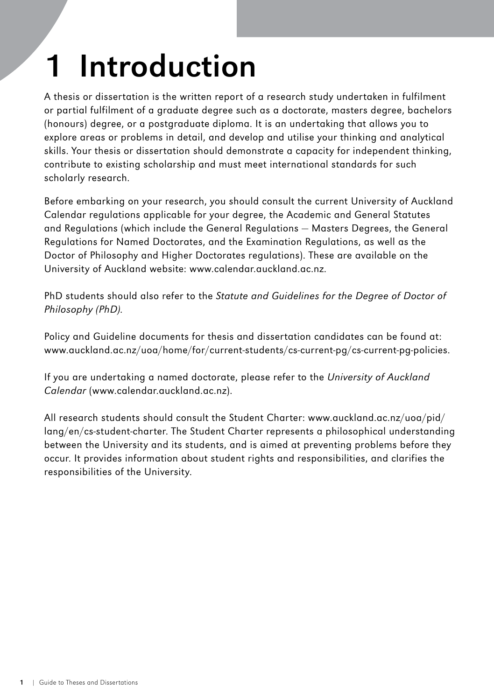# <span id="page-4-0"></span>1 Introduction

A thesis or dissertation is the written report of a research study undertaken in fulfilment or partial fulfilment of a graduate degree such as a doctorate, masters degree, bachelors (honours) degree, or a postgraduate diploma. It is an undertaking that allows you to explore areas or problems in detail, and develop and utilise your thinking and analytical skills. Your thesis or dissertation should demonstrate a capacity for independent thinking, contribute to existing scholarship and must meet international standards for such scholarly research.

Before embarking on your research, you should consult the current University of Auckland Calendar regulations applicable for your degree, the [Academic and General Statutes](http://www.calendar.auckland.ac.nz/regulations/academic/index.html)  [and Regulations](http://www.calendar.auckland.ac.nz/regulations/academic/index.html) (which include the [General Regulations — Masters Degrees](http://www.calendar.auckland.ac.nz/regulations/academic/general/masters.html), the [General](http://www.calendar.auckland.ac.nz/regulations/academic/general/doctorates.html)  [Regulations for Named Doctorates,](http://www.calendar.auckland.ac.nz/regulations/academic/general/doctorates.html) and the [Examination Regulations,](http://www.calendar.auckland.ac.nz/regulations/academic/examination.html) as well as the [Doctor of Philosophy and Higher Doctorates regulations\)](http://www.calendar.auckland.ac.nz/regulations/doctoral/index.html). These are available on the University of Auckland website: www.calendar.auckland.ac.nz.

PhD students should also refer to the *[Statute and Guidelines for the Degree of Doctor of](http://www.auckland.ac.nz/uoa/cs-pg-doc-phd-statute)  [Philosophy \(PhD\).](http://www.auckland.ac.nz/uoa/cs-pg-doc-phd-statute)*

Policy and Guideline documents for thesis and dissertation candidates can be found at: www.auckland.ac.nz/uoa/home/for/current-students/cs-current-pg/cs-current-pg-policies.

If you are undertaking a named doctorate, please refer to the *[University of Auckland](http://www.calendar.auckland.ac.nz/)  [Calendar](http://www.calendar.auckland.ac.nz/)* (www.calendar.auckland.ac.nz).

All research students should consult the [Student Charter:](http://www.auckland.ac.nz/uoa/pid/lang/en/cs-student-charter) [www.auckland.ac.nz/uoa/pid/](http://www.auckland.ac.nz/uoa/pid/lang/en/cs-student-charter) [lang/en/cs-student-charter.](http://www.auckland.ac.nz/uoa/pid/lang/en/cs-student-charter) The [Student Charter](http://www.auckland.ac.nz/uoa/pid/lang/en/cs-student-charter) represents a philosophical understanding between the University and its students, and is aimed at preventing problems before they occur. It provides information about student rights and responsibilities, and clarifies the responsibilities of the University.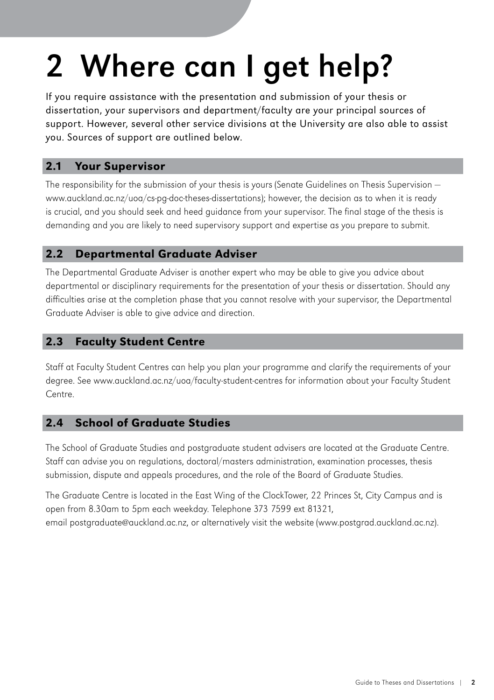# <span id="page-5-0"></span>2 Where can I get help?

If you require assistance with the presentation and submission of your thesis or dissertation, your supervisors and department/faculty are your principal sources of support. However, several other service divisions at the University are also able to assist you. Sources of support are outlined below.

# 2.1 Your Supervisor

The responsibility for the submission of your thesis is yours ([Senate Guidelines on Thesis Supervision](http://www.auckland.ac.nz/webdav/site/central/shared/for/current-students/postgraduate-students/documents/policies-guidelines-forms/senate-guidelines-thesis-supervision.pdf)  www.auckland.ac.nz/uoa/cs-pg-doc-theses-dissertations); however, the decision as to when it is ready is crucial, and you should seek and heed guidance from your supervisor. The final stage of the thesis is demanding and you are likely to need supervisory support and expertise as you prepare to submit.

# 2.2 Departmental Graduate Adviser

The Departmental Graduate Adviser is another expert who may be able to give you advice about departmental or disciplinary requirements for the presentation of your thesis or dissertation. Should any difficulties arise at the completion phase that you cannot resolve with your supervisor, the Departmental Graduate Adviser is able to give advice and direction.

# 2.3 Faculty Student Centre

Staff at Faculty Student Centres can help you plan your programme and clarify the requirements of your degree. See www.auckland.ac.nz/uoa/faculty-student-centres for information about your Faculty Student Centre.

# 2.4 School of Graduate Studies

The School of Graduate Studies and postgraduate student advisers are located at the Graduate Centre. Staff can advise you on regulations, doctoral/masters administration, examination processes, thesis submission, dispute and appeals procedures, and the role of the Board of Graduate Studies.

The Graduate Centre is located in the East Wing of the ClockTower, 22 Princes St, City Campus and is open from 8.30am to 5pm each weekday. Telephone 373 7599 ext 81321, email postgraduate@auckland.ac.nz, or alternatively visit the website (www.postgrad.auckland.ac.nz).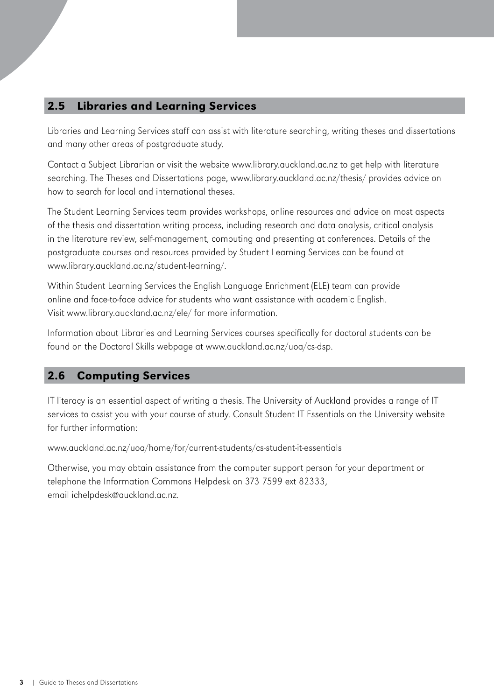# <span id="page-6-0"></span>2.5 Libraries and Learning Services

Libraries and Learning Services staff can assist with literature searching, writing theses and dissertations and many other areas of postgraduate study.

Contact a [Subject Librarian](http://www.library.auckland.ac.nz/services/research-teaching-and-learning/subject-librarians) or visit the website www.library.auckland.ac.nz to get help with literature searching. The Theses and Dissertations page, [www.library.auckland.ac.nz/thesis/](http://www.library.auckland.ac.nz/thesis/) provides advice on how to search for local and international theses.

The Student Learning Services team provides workshops, online resources and advice on most aspects of the thesis and dissertation writing process, including research and data analysis, critical analysis in the literature review, self-management, computing and presenting at conferences. Details of the postgraduate courses and resources provided by [Student Learning Services](http://www.library.auckland.ac.nz/student-learning/) can be found at www.library.auckland.ac.nz/student-learning/.

Within Student Learning Services the [English Language Enrichment \(ELE\)](http://www.library.auckland.ac.nz/ele/) team can provide online and face-to-face advice for students who want assistance with academic English. Visit www.library.auckland.ac.nz/ele/ for more information.

Information about Libraries and Learning Services courses specifically for doctoral students can be found on the [Doctoral Skills webpage](http://www.auckland.ac.nz/uoa/cs-dsp) at www.auckland.ac.nz/uoa/cs-dsp.

# 2.6 Computing Services

IT literacy is an essential aspect of writing a thesis. The University of Auckland provides a range of IT services to assist you with your course of study. Consult [Student IT Essentials](http://www.auckland.ac.nz/uoa/home/for/current-students/cs-student-it-essentials) on the University website for further information:

www.auckland.ac.nz/uoa/home/for/current-students/cs-student-it-essentials

Otherwise, you may obtain assistance from the computer support person for your department or telephone the Information Commons Helpdesk on 373 7599 ext 82333, email ichelpdesk@auckland.ac.nz.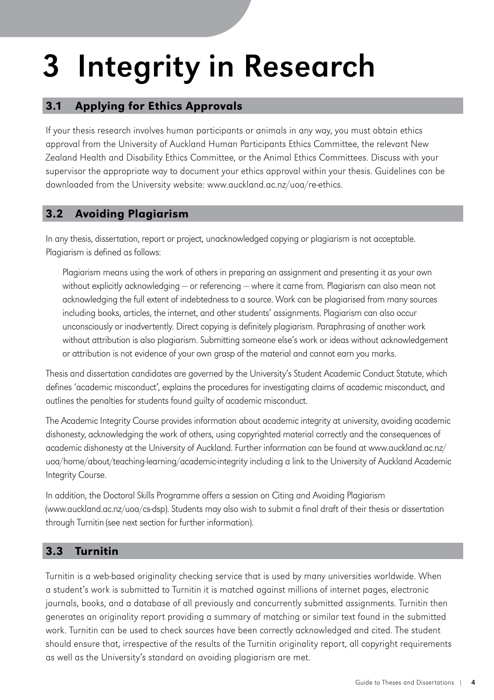# <span id="page-7-0"></span>3 Integrity in Research

# 3.1 Applying for Ethics Approvals

If your thesis research involves human participants or animals in any way, you must obtain ethics approval from t[he University of Auckland Human Participants Ethics Committee,](http://www.auckland.ac.nz/uoa/re-uahpec) the relevant [New](http://www.auckland.ac.nz/uoa/health-and-disability-researchethics-committees)  [Zealand Health and Disability Ethics Committee,](http://www.auckland.ac.nz/uoa/health-and-disability-researchethics-committees) or the [Animal Ethics Committees](https://www.staff.auckland.ac.nz/uoa/home/staff-intranet/research-36/research-integrity-ethics-and-biosafety/animal-ethics1). Discuss with your supervisor the appropriate way to document your ethics approval within your thesis. Guidelines can be downloaded from the University website: www.auckland.ac.nz/uoa/re-ethics.

# 3.2 Avoiding Plagiarism

In any thesis, dissertation, report or project, unacknowledged copying or plagiarism is not acceptable. Plagiarism is defined as follows:

Plagiarism means using the work of others in preparing an assignment and presenting it as your own without explicitly acknowledging — or referencing — where it came from. Plagiarism can also mean not acknowledging the full extent of indebtedness to a source. Work can be plagiarised from many sources including books, articles, the internet, and other students' assignments. Plagiarism can also occur unconsciously or inadvertently. Direct copying is definitely plagiarism. Paraphrasing of another work without attribution is also plagiarism. Submitting someone else's work or ideas without acknowledgement or attribution is not evidence of your own grasp of the material and cannot earn you marks.

Thesis and dissertation candidates are governed by the University's [Student Academic Conduct Statute,](https://policies.auckland.ac.nz/policy-display-register/student-academic-conduct-statute.pdf) which defines 'academic misconduct', explains the procedures for investigating claims of academic misconduct, and outlines the penalties for students found guilty of academic misconduct.

The [Academic Integrity Course](https://www.academicintegrity.auckland.ac.nz/) provides information about academic integrity at university, avoiding academic dishonesty, acknowledging the work of others, using copyrighted material correctly and the consequences of academic dishonesty at the University of Auckland. Further information can be found at [www.auckland.ac.nz/](http://www.auckland.ac.nz/uoa/home/about/teaching-learning/academic-integrity) [uoa/home/about/teaching-learning/academic-integrity i](http://www.auckland.ac.nz/uoa/home/about/teaching-learning/academic-integrity)ncluding a link to t[he University of Auckland Academic](https://www.academicintegrity.auckland.ac.nz/)  [Integrity Course.](https://www.academicintegrity.auckland.ac.nz/)

In addition, the Doctoral Skills Programme offers a session on Citing and Avoiding Plagiarism (www.auckland.ac.nz/uoa/cs-dsp). Students may also wish to submit a final draft of their thesis or dissertation through [Turnitin](www.turnitin.com) (see next section for further information).

# 3.3 [Turnitin](www.turnitin.com)

[Turnitin](www.turnitin.com) is a web-based originality checking service that is used by many universities worldwide. When a student's work is submitted to [Turnitin](www.turnitin.com) it is matched against millions of internet pages, electronic journals, books, and a database of all previously and concurrently submitted assignments. [Turnitin t](www.turnitin.com)hen generates an originality report providing a summary of matching or similar text found in the submitted work. [Turnitin](www.turnitin.com) can be used to check sources have been correctly acknowledged and cited. The student should ensure that, irrespective of the results of the [Turnitin](www.turnitin.com) originality report, all copyright requirements as well as the University's standard on avoiding plagiarism are met.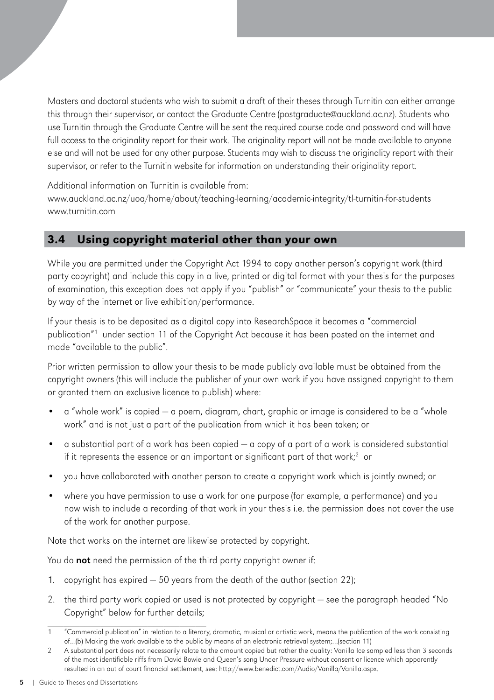<span id="page-8-0"></span>Masters and doctoral students who wish to submit a draft of their theses through [Turnitin](www.turnitin.com) can either arrange this through their supervisor, or contact the Graduate Centre (postgraduate@auckland.ac.nz). Students who use [Turnitin](www.turnitin.com) through the Graduate Centre will be sent the required course code and password and will have full access to the originality report for their work. The originality report will not be made available to anyone else and will not be used for any other purpose. Students may wish to discuss the originality report with their supervisor, or refer to the [Turnitin website f](www.turnitin.com)or information on understanding their originality report.

Additional information on [Turnitin i](www.turnitin.com)s available from:

www.auckland.ac.nz/uoa/home/about/teaching-learning/academic-integrity/tl-turnitin-for-students www.turnitin.com

### 3.4 Using copyright material other than your own

While you are permitted under the [Copyright Act 1994 t](http://www.legislation.govt.nz/act/public/1994/0143/latest/DLM345634.html)o copy another person's copyright work (third party copyright) and include this copy in a live, printed or digital format with your thesis for the purposes of examination, this exception does not apply if you "publish" or "communicate" your thesis to the public by way of the internet or live exhibition/performance.

If your thesis is to be deposited as a digital copy into ResearchSpace it becomes a "commercial publication"1 under [section 11](http://www.legislation.govt.nz/act/public/1994/0143/latest/DLM345912.html) of the Copyright Act because it has been posted on the internet and made "available to the public".

Prior written permission to allow your thesis to be made publicly available must be obtained from the copyright owners (this will include the publisher of your own work if you have assigned copyright to them or granted them an exclusive licence to publish) where:

- •. a "whole work" is copied a poem, diagram, chart, graphic or image is considered to be a "whole work" and is not just a part of the publication from which it has been taken; or
- $\bullet$  a substantial part of a work has been copied  $-$  a copy of a part of a work is considered substantial if it represents the essence or an important or significant part of that work; $^{\scriptscriptstyle 2}$  or
- •. you have collaborated with another person to create a copyright work which is jointly owned; or
- •. where you have permission to use a work for one purpose (for example, a performance) and you now wish to include a recording of that work in your thesis i.e. the permission does not cover the use of the work for another purpose.

Note that works on the internet are likewise protected by copyright.

You do not need the permission of the third party copyright owner if:

- 1. copyright has expired 50 years from the death of the author [\(section 22\);](http://www.legislation.govt.nz/act/public/1994/0143/latest/DLM345932.html)
- 2. the third party work copied or used is not protected by copyright see the paragraph headed "No Copyright" below for further details;

<sup>1</sup> "Commercial publication" in relation to a literary, dramatic, musical or artistic work, means the publication of the work consisting of…(b) Making the work available to the public by means of an electronic retrieval system;…(section 11)

<sup>2</sup> A substantial part does not necessarily relate to the amount copied but rather the quality: Vanilla Ice sampled less than 3 seconds of the most identifiable riffs from David Bowie and Queen's song Under Pressure without consent or licence which apparently resulted in an out of court financial settlement, see: http://www.benedict.com/Audio/Vanilla/Vanilla.aspx.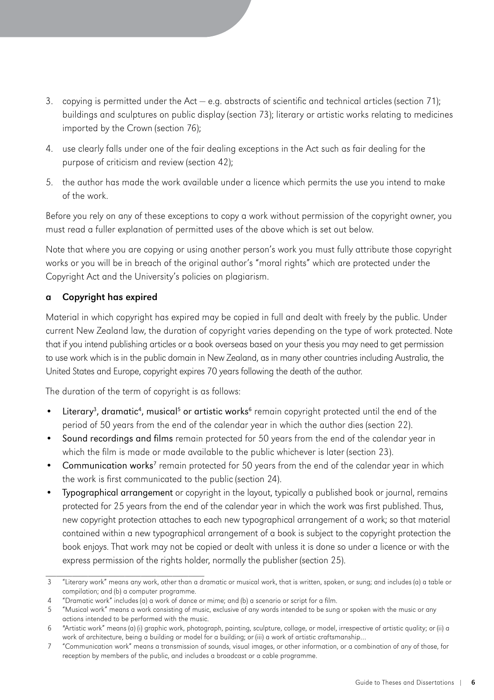- <span id="page-9-0"></span>3. copying is permitted under the Act  $-$  e.g. [abstracts of scientific and technical articles \(section 71\);](http://www.legislation.govt.nz/act/public/1994/0143/latest/DLM346213.html) [buildings and sculptures on public display \(section 73\)](http://www.legislation.govt.nz/act/public/1994/0143/latest/DLM346215.html); l[iterary or artistic works relating to medicines](http://www.legislation.govt.nz/act/public/1994/0143/latest/DLM346218.html)  [imported by the Crown \(section 76\);](http://www.legislation.govt.nz/act/public/1994/0143/latest/DLM346218.html)
- 4. use clearly falls under one of the fair dealing exceptions in the Act such as fair dealing for the purpose of [criticism and review \(section 42\)](http://www.legislation.govt.nz/act/public/1994/0143/latest/DLM345961.html);
- 5. the author has made the work available under a licence which permits the use you intend to make of the work.

Before you rely on any of these exceptions to copy a work without permission of the copyright owner, you must read a fuller explanation of permitted uses of the above which is set out below.

Note that where you are copying or using another person's work you must fully attribute those copyright works or you will be in breach of the original author's "moral rights" which are protected under the Copyright Act and the University's policies on plagiarism.

#### a Copyright has expired

Material in which copyright has expired may be copied in full and dealt with freely by the public. Under current New Zealand law, the duration of copyright varies depending on the type of work protected. Note that if you intend publishing articles or a book overseas based on your thesis you may need to get permission to use work which is in the public domain in New Zealand, as in many other countries including Australia, the United States and Europe, copyright expires 70 years following the death of the author.

The duration of the term of copyright is as follows:

- Literary<sup>3</sup>, dramatic<sup>4</sup>, musical<sup>5</sup> or artistic works<sup>6</sup> remain copyright protected until the end of the [period of 50 years from the end of the calendar year in which the author dies \(section 22\).](http://www.legislation.govt.nz/act/public/1994/0143/latest/DLM345932.html)
- Sound recordings and films remain protected for 50 years from the end of the calendar year in [which the film is made or made available to the public whichever is later \(section 23\).](http://www.legislation.govt.nz/act/public/1994/0143/latest/DLM345933.html)
- Communication works<sup>7</sup> remain protected for 50 years from the end of the calendar year in which the work is first communicated to the public (section 24).
- Typographical arrangement or copyright in the layout, typically a published book or journal, remains protected for 25 years from the end of the calendar year in which the work was first published. Thus, new copyright protection attaches to each new typographical arrangement of a work; so that material [contained within a new typographical arrangement of a book is subject to the copyright protection the](http://www.legislation.govt.nz/act/public/1994/0143/latest/DLM345935.html)  book enjoys. That work may not be copied or dealt with unless it is done so under a licence or with the express permission of the rights holder, normally the publisher (section 25).

\_\_\_\_\_\_\_\_\_\_\_\_\_\_\_\_\_\_\_\_\_\_\_\_\_\_\_\_\_\_ 3 "Literary work" means any work, other than a dramatic or musical work, that is written, spoken, or sung; and includes (a) a table or compilation; and (b) a computer programme.

 <sup>4</sup> "Dramatic work" includes (a) a work of dance or mime; and (b) a scenario or script for a film.

 <sup>5 &</sup>quot;Musical work" means a work consisting of music, exclusive of any words intended to be sung or spoken with the music or any actions intended to be performed with the music.

 <sup>6</sup> "Artistic work" means (a) (i) graphic work, photograph, painting, sculpture, collage, or model, irrespective of artistic quality; or (ii) a work of architecture, being a building or model for a building; or (iii) a work of artistic craftsmanship…

 <sup>7</sup> "Communication work" means a transmission of sounds, visual images, or other information, or a combination of any of those, for reception by members of the public, and includes a broadcast or a cable programme.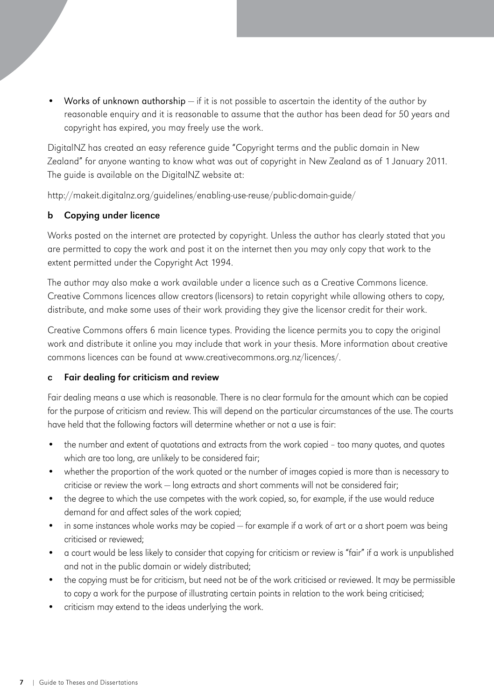<span id="page-10-0"></span>Works of unknown authorship  $-$  if it is not possible to ascertain the identity of the author by reasonable enquiry and it is reasonable to assume that the author has been dead for 50 years and copyright has expired, you may freely use the work.

[DigitalNZ h](http://www.digitalnz.org/)as created an easy reference guide ["Copyright terms and the public domain in New](http://www.digitalnz.org/make-it-digital/enabling-use-re-use/public-domain-guide) [Zealand"](http://www.digitalnz.org/make-it-digital/enabling-use-re-use/public-domain-guide) for anyone wanting to know what was out of copyright in New Zealand as of 1 January 2011. The guide is available on the DigitalNZ website at:

[http://makeit.digitalnz.org/guidelines/enabling-use-reuse/public-domain-guide/](http://www.digitalnz.org/make-it-digital/enabling-use-re-use/public-domain-guide) 

#### b Copying under licence

Works posted on the internet are protected by copyright. Unless the author has clearly stated that you are permitted to copy the work and post it on the internet then you may only copy that work to the extent permitted under the [Copyright Act 1994.](http://www.legislation.govt.nz/act/public/1994/0143/latest/DLM345634.html?search=ts_act%40bill%40regulation%40deemedreg_copyright+act+1994_resel_25_a&p=1)

The author may also make a work available under a licence such as a [Creative Commons licence](http://www.creativecommons.org.nz/licences/). [Creative Commons licences a](http://www.creativecommons.org.nz/licences/)llow creators (licensors) to retain copyright while allowing others to copy, distribute, and make some uses of their work providing they give the licensor credit for their work.

[Creative Commons o](http://www.creativecommons.org.nz/licences/)ffers 6 main licence types. Providing the licence permits you to copy the original work and distribute it online you may include that work in your thesis. More information about creative commons licences can be found at www.creativecommons.org.nz/licences/.

#### c Fair dealing for criticism and review

Fair dealing means a use which is reasonable. There is no clear formula for the amount which can be copied for the purpose of criticism and review. This will depend on the particular circumstances of the use. The courts have held that the following factors will determine whether or not a use is fair:

- the number and extent of quotations and extracts from the work copied too many quotes, and quotes which are too long, are unlikely to be considered fair;
- whether the proportion of the work quoted or the number of images copied is more than is necessary to criticise or review the work — long extracts and short comments will not be considered fair;
- the degree to which the use competes with the work copied, so, for example, if the use would reduce demand for and affect sales of the work copied;
- in some instances whole works may be copied for example if a work of art or a short poem was being criticised or reviewed;
- a court would be less likely to consider that copying for criticism or review is "fair" if a work is unpublished and not in the public domain or widely distributed;
- the copying must be for criticism, but need not be of the work criticised or reviewed. It may be permissible to copy a work for the purpose of illustrating certain points in relation to the work being criticised;
- criticism may extend to the ideas underlying the work.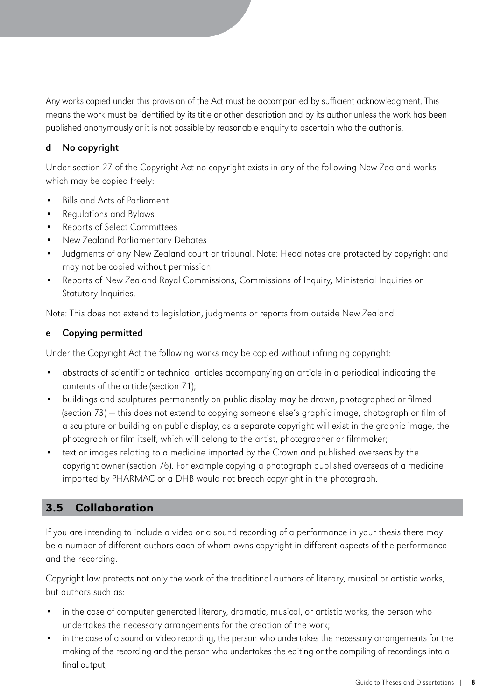<span id="page-11-0"></span>Any works copied under this provision of the Act must be accompanied by sufficient acknowledgment. This means the work must be identified by its title or other description and by its author unless the work has been published anonymously or it is not possible by reasonable enquiry to ascertain who the author is.

#### d No copyright

Unde[r section 27 of the Copyright Act](http://www.legislation.govt.nz/act/public/1994/0143/latest/DLM345939.html?search=ts_act%40bill%40regulation%40deemedreg_copyright+act+1994_resel_25_a&p=1) no copyright exists in any of the following New Zealand works which may be copied freely:

- Bills and Acts of Parliament
- Regulations and Bylaws
- Reports of Select Committees
- New Zealand Parliamentary Debates
- Judgments of any New Zealand court or tribunal. Note: Head notes are protected by copyright and may not be copied without permission
- Reports of New Zealand Royal Commissions, Commissions of Inquiry, Ministerial Inquiries or Statutory Inquiries.

Note: This does not extend to legislation, judgments or reports from outside New Zealand.

#### e Copying permitted

Under the Copyright Act the following works may be copied without infringing copyright:

- abstracts of scientific or technical articles accompanying an article in a periodical indicating the contents of the article [\(section 71\);](http://www.legislation.govt.nz/act/public/1994/0143/latest/DLM346213.html?search=ts_act%40bill%40regulation%40deemedreg_copyright+act+1994_resel_25_a&p=1)
- buildings and sculptures permanently on public display may be drawn, photographed or filmed [\(section 73\)](http://www.legislation.govt.nz/act/public/1994/0143/latest/DLM346215.html?search=ts_act%40bill%40regulation%40deemedreg_copyright+act+1994_resel_25_a&p=1) — this does not extend to copying someone else's graphic image, photograph or film of a sculpture or building on public display, as a separate copyright will exist in the graphic image, the photograph or film itself, which will belong to the artist, photographer or filmmaker;
- text or images relating to a medicine imported by the Crown and published overseas by the copyright owner [\(section 76\).](http://www.legislation.govt.nz/act/public/1994/0143/latest/DLM346218.html?search=ts_act%40bill%40regulation%40deemedreg_copyright+act+1994_resel_25_a&p=1) For example copying a photograph published overseas of a medicine imported by PHARMAC or a DHB would not breach copyright in the photograph.

# 3.5 Collaboration

If you are intending to include a video or a sound recording of a performance in your thesis there may be a number of different authors each of whom owns copyright in different aspects of the performance and the recording.

Copyright law protects not only the work of the traditional authors of literary, musical or artistic works, but authors such as:

- in the case of computer generated literary, dramatic, musical, or artistic works, the person who undertakes the necessary arrangements for the creation of the work;
- in the case of a sound or video recording, the person who undertakes the necessary arrangements for the making of the recording and the person who undertakes the editing or the compiling of recordings into a final output: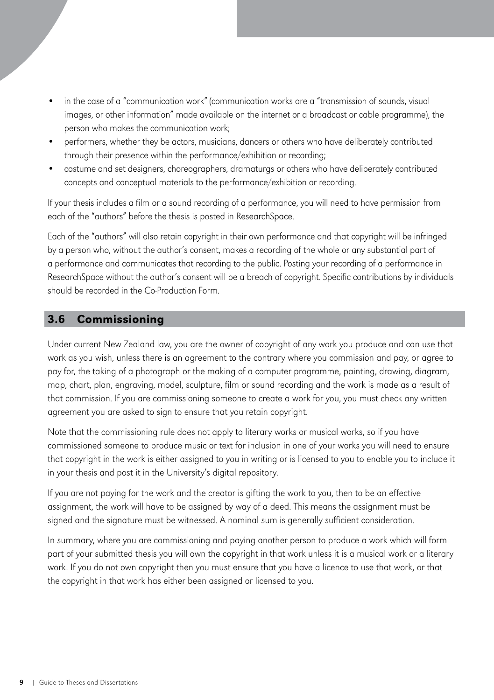- <span id="page-12-0"></span>• in the case of a "communication work" (communication works are a "transmission of sounds, visual images, or other information" made available on the internet or a broadcast or cable programme), the person who makes the communication work;
- performers, whether they be actors, musicians, dancers or others who have deliberately contributed through their presence within the performance/exhibition or recording;
- costume and set designers, choreographers, dramaturgs or others who have deliberately contributed concepts and conceptual materials to the performance/exhibition or recording.

If your thesis includes a film or a sound recording of a performance, you will need to have permission from each of the "authors" before the thesis is posted in ResearchSpace.

Each of the "authors" will also retain copyright in their own performance and that copyright will be infringed by a person who, without the author's consent, makes a recording of the whole or any substantial part of a performance and communicates that recording to the public. Posting your recording of a performance in ResearchSpace without the author's consent will be a breach of copyright. Specific contributions by individuals should be recorded in the [Co-Production Form.](http://www.auckland.ac.nz/webdav/site/central/shared/for/current-students/postgraduate-students/documents/policies-guidelines-forms/doctoral-forms/co-production-form.docx)

# 3.6 Commissioning

Under current New Zealand law, you are the owner of copyright of any work you produce and can use that work as you wish, unless there is an agreement to the contrary where you commission and pay, or agree to pay for, the taking of a photograph or the making of a computer programme, painting, drawing, diagram, map, chart, plan, engraving, model, sculpture, film or sound recording and the work is made as a result of that commission. If you are commissioning someone to create a work for you, you must check any written agreement you are asked to sign to ensure that you retain copyright.

Note that the commissioning rule does not apply to literary works or musical works, so if you have commissioned someone to produce music or text for inclusion in one of your works you will need to ensure that copyright in the work is either assigned to you in writing or is licensed to you to enable you to include it in your thesis and post it in the University's digital repository.

If you are not paying for the work and the creator is gifting the work to you, then to be an effective assignment, the work will have to be assigned by way of a deed. This means the assignment must be signed and the signature must be witnessed. A nominal sum is generally sufficient consideration.

In summary, where you are commissioning and paying another person to produce a work which will form part of your submitted thesis you will own the copyright in that work unless it is a musical work or a literary work. If you do not own copyright then you must ensure that you have a licence to use that work, or that the copyright in that work has either been assigned or licensed to you.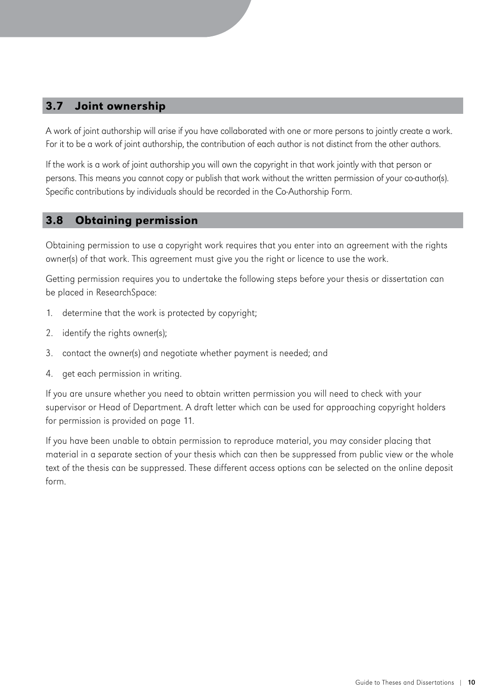# <span id="page-13-0"></span>3.7 Joint ownership

A work of joint authorship will arise if you have collaborated with one or more persons to jointly create a work. For it to be a work of joint authorship, the contribution of each author is not distinct from the other authors.

If the work is a work of joint authorship you will own the copyright in that work jointly with that person or persons. This means you cannot copy or publish that work without the written permission of your co-author(s). Specific contributions by individuals should be recorded in the [Co-Authorship Form.](http://www.auckland.ac.nz/webdav/site/central/shared/for/current-students/postgraduate-students/documents/policies-guidelines-forms/doctoral-forms/co-authorship-form.docx)

### 3.8 Obtaining permission

Obtaining permission to use a copyright work requires that you enter into an agreement with the rights owner(s) of that work. This agreement must give you the right or licence to use the work.

Getting permission requires you to undertake the following steps before your thesis or dissertation can be placed in ResearchSpace:

- 1. determine that the work is protected by copyright;
- 2. identify the rights owner(s);
- 3. contact the owner(s) and negotiate whether payment is needed; and
- 4. get each permission in writing.

If you are unsure whether you need to obtain written permission you will need to check with your [supervisor or Head of Department. A draft letter which can be used for approaching copyright holders](#page-14-0)  for permission is provided on page 11.

If you have been unable to obtain permission to reproduce material, you may consider placing that material in a separate section of your thesis which can then be suppressed from public view or the whole text of the thesis can be suppressed. These different access options can be selected on the online deposit form.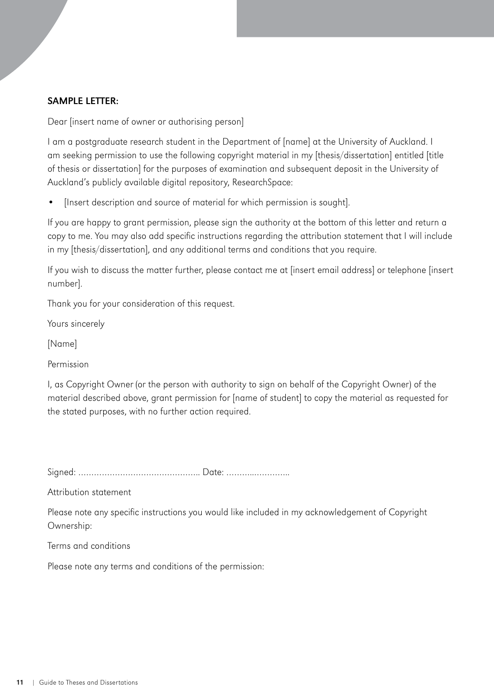#### <span id="page-14-0"></span>SAMPLE LETTER:

Dear [insert name of owner or authorising person]

I am a postgraduate research student in the Department of [name] at the University of Auckland. I am seeking permission to use the following copyright material in my [thesis/dissertation] entitled [title of thesis or dissertation] for the purposes of examination and subsequent deposit in the University of Auckland's publicly available digital repository, ResearchSpace:

• [Insert description and source of material for which permission is sought].

If you are happy to grant permission, please sign the authority at the bottom of this letter and return a copy to me. You may also add specific instructions regarding the attribution statement that I will include in my [thesis/dissertation], and any additional terms and conditions that you require.

If you wish to discuss the matter further, please contact me at [insert email address] or telephone [insert number].

Thank you for your consideration of this request.

Yours sincerely

[Name]

Permission

I, as Copyright Owner (or the person with authority to sign on behalf of the Copyright Owner) of the material described above, grant permission for [name of student] to copy the material as requested for the stated purposes, with no further action required.

Signed: ……………………………………….. Date: ………..…………..

Attribution statement

Please note any specific instructions you would like included in my acknowledgement of Copyright Ownership:

Terms and conditions

Please note any terms and conditions of the permission: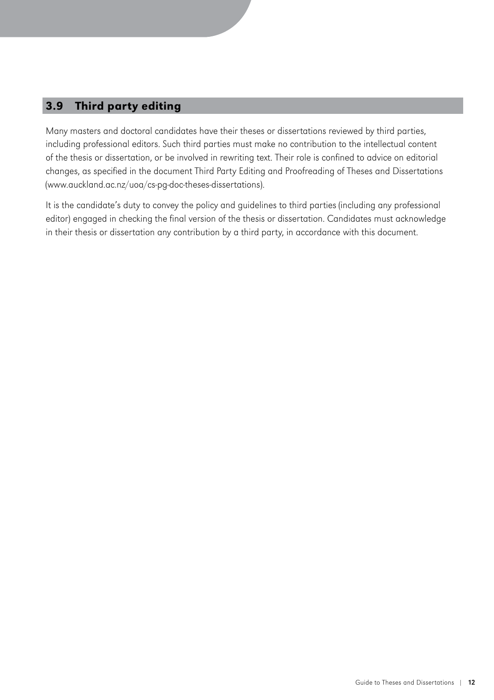# <span id="page-15-0"></span>3.9 Third party editing

Many masters and doctoral candidates have their theses or dissertations reviewed by third parties, including professional editors. Such third parties must make no contribution to the intellectual content of the thesis or dissertation, or be involved in rewriting text. Their role is confined to advice on editorial changes, as specified in the document [Third Party Editing and Proofreading of Theses and Dissertations](http://www.auckland.ac.nz/webdav/site/central/shared/for/current-students/postgraduate-students/documents/policies-guidelines-forms/doctoral-policies-guidelines/third-party-editing-and-proofreading-of-theses-and-dissertations.pdf)  (www.auckland.ac.nz/uoa/cs-pg-doc-theses-dissertations).

It is the candidate's duty to convey the policy and guidelines to third parties (including any professional editor) engaged in checking the final version of the thesis or dissertation. Candidates must acknowledge in their thesis or dissertation any contribution by a third party, in accordance with this document.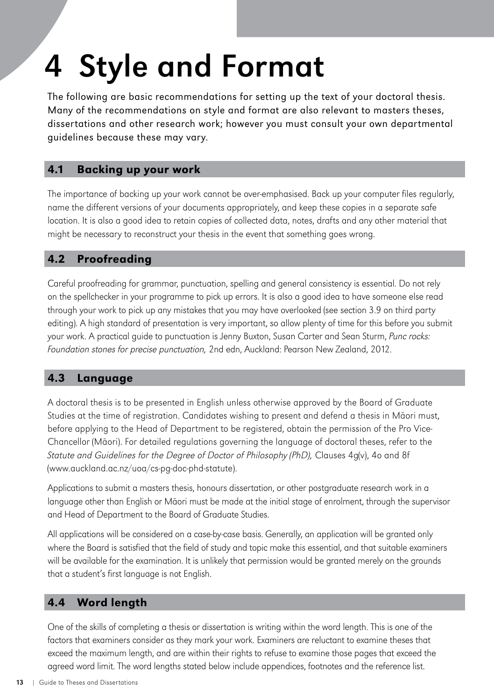# <span id="page-16-0"></span>4 Style and Format

The following are basic recommendations for setting up the text of your doctoral thesis. Many of the recommendations on style and format are also relevant to masters theses, dissertations and other research work; however you must consult your own departmental guidelines because these may vary.

# 4.1 Backing up your work

The importance of backing up your work cannot be over-emphasised. Back up your computer files regularly, name the different versions of your documents appropriately, and keep these copies in a separate safe location. It is also a good idea to retain copies of collected data, notes, drafts and any other material that might be necessary to reconstruct your thesis in the event that something goes wrong.

# 4.2 Proofreading

Careful proofreading for grammar, punctuation, spelling and general consistency is essential. Do not rely on the spellchecker in your programme to pick up errors. It is also a good idea to have someone else read through your work to pick up any mistakes that you may have overlooked (see section 3.9 on third party editing). A high standard of presentation is very important, so allow plenty of time for this before you submit your work. A practical guide to punctuation is Jenny Buxton, Susan Carter and Sean Sturm, Punc rocks: Foundation stones for precise punctuation, 2nd edn, Auckland: Pearson New Zealand, 2012.

# 4.3 Language

A doctoral thesis is to be presented in English unless otherwise approved by the Board of Graduate Studies at the time of registration. Candidates wishing to present and defend a thesis in Māori must, before applying to the Head of Department to be registered, obtain the permission of the Pro Vice-Chancellor (Māori). For detailed regulations governing the language of doctoral theses, refer to the [Statute and Guidelines for the Degree of Doctor of Philosophy \(PhD\),](http://www.auckland.ac.nz/uoa/cs-pg-doc-phd-statute) Clauses 4g(v), 4o and 8f (www.auckland.ac.nz/uoa/cs-pg-doc-phd-statute).

Applications to submit a masters thesis, honours dissertation, or other postgraduate research work in a language other than English or Māori must be made at the initial stage of enrolment, through the supervisor and Head of Department to the Board of Graduate Studies.

All applications will be considered on a case-by-case basis. Generally, an application will be granted only where the Board is satisfied that the field of study and topic make this essential, and that suitable examiners will be available for the examination. It is unlikely that permission would be granted merely on the grounds that a student's first language is not English.

# 4.4 Word length

One of the skills of completing a thesis or dissertation is writing within the word length. This is one of the factors that examiners consider as they mark your work. Examiners are reluctant to examine theses that exceed the maximum length, and are within their rights to refuse to examine those pages that exceed the agreed word limit. The word lengths stated below include appendices, footnotes and the reference list.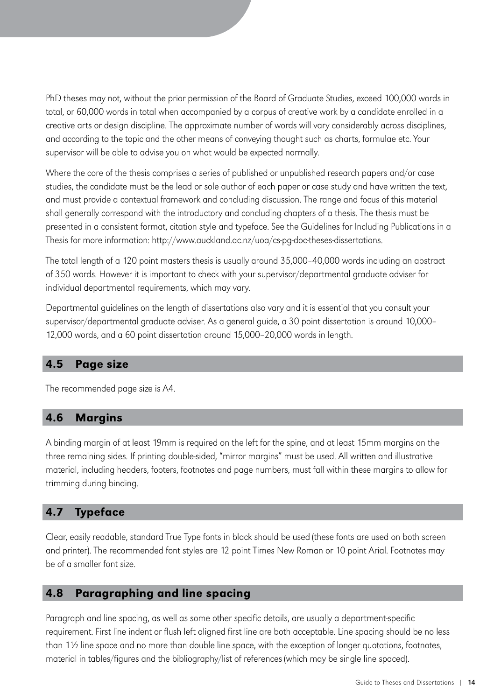<span id="page-17-0"></span>PhD theses may not, without the prior permission of the Board of Graduate Studies, exceed 100,000 words in total, or 60,000 words in total when accompanied by a corpus of creative work by a candidate enrolled in a creative arts or design discipline. The approximate number of words will vary considerably across disciplines, and according to the topic and the other means of conveying thought such as charts, formulae etc. Your supervisor will be able to advise you on what would be expected normally.

Where the core of the thesis comprises a series of published or unpublished research papers and/or case studies, the candidate must be the lead or sole author of each paper or case study and have written the text, and must provide a contextual framework and concluding discussion. The range and focus of this material shall generally correspond with the introductory and concluding chapters of a thesis. The thesis must be presented in a consistent format, citation style and typeface. See the [Guidelines for Including Publications in a](http://www.auckland.ac.nz/webdav/site/central/shared/for/current-students/postgraduate-students/documents/policies-guidelines-forms/doctoral-policies-guidelines/guidelines-fo-including-publications-in-a-thesis.pdf) [Thesis f](http://www.auckland.ac.nz/webdav/site/central/shared/for/current-students/postgraduate-students/documents/policies-guidelines-forms/doctoral-policies-guidelines/guidelines-fo-including-publications-in-a-thesis.pdf)or more information: http://www.auckland.ac.nz/uoa/cs-pg-doc-theses-dissertations.

The total length of a 120 point masters thesis is usually around 35,000–40,000 words including an abstract of 350 words. However it is important to check with your supervisor/departmental graduate adviser for individual departmental requirements, which may vary.

Departmental guidelines on the length of dissertations also vary and it is essential that you consult your supervisor/departmental graduate adviser. As a general guide, a 30 point dissertation is around 10,000– 12,000 words, and a 60 point dissertation around 15,000–20,000 words in length.

#### 4.5 Page size

The recommended page size is A4.

# 4.6 Margins

A binding margin of at least 19mm is required on the left for the spine, and at least 15mm margins on the three remaining sides. If printing double-sided, "mirror margins" must be used. All written and illustrative material, including headers, footers, footnotes and page numbers, must fall within these margins to allow for trimming during binding.

# 4.7 Typeface

Clear, easily readable, standard True Type fonts in black should be used (these fonts are used on both screen and printer). The recommended font styles are 12 point Times New Roman or 10 point Arial. Footnotes may be of a smaller font size.

# 4.8 Paragraphing and line spacing

Paragraph and line spacing, as well as some other specific details, are usually a department-specific requirement. First line indent or flush left aligned first line are both acceptable. Line spacing should be no less than 1½ line space and no more than double line space, with the exception of longer quotations, footnotes, material in tables/figures and the bibliography/list of references (which may be single line spaced).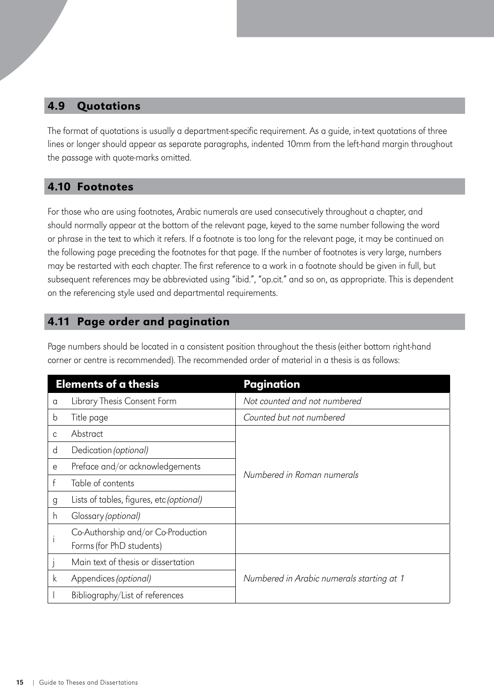# <span id="page-18-0"></span>4.9 Quotations

The format of quotations is usually a department-specific requirement. As a guide, in-text quotations of three lines or longer should appear as separate paragraphs, indented 10mm from the left-hand margin throughout the passage with quote-marks omitted.

# 4.10 Footnotes

For those who are using footnotes, Arabic numerals are used consecutively throughout a chapter, and should normally appear at the bottom of the relevant page, keyed to the same number following the word or phrase in the text to which it refers. If a footnote is too long for the relevant page, it may be continued on the following page preceding the footnotes for that page. If the number of footnotes is very large, numbers may be restarted with each chapter. The first reference to a work in a footnote should be given in full, but subsequent references may be abbreviated using "ibid.", "op.cit." and so on, as appropriate. This is dependent on the referencing style used and departmental requirements.

# 4.11 Page order and pagination

Page numbers should be located in a consistent position throughout the thesis (either bottom right-hand corner or centre is recommended). The recommended order of material in a thesis is as follows:

|    | <b>Elements of a thesis</b>                                    | Pagination                                |  |
|----|----------------------------------------------------------------|-------------------------------------------|--|
| a  | Library Thesis Consent Form                                    | Not counted and not numbered              |  |
| b  | Title page                                                     | Counted but not numbered                  |  |
| C. | Abstract                                                       |                                           |  |
| d  | Dedication (optional)                                          |                                           |  |
| e  | Preface and/or acknowledgements                                | Numbered in Roman numerals                |  |
| f  | Table of contents                                              |                                           |  |
| g  | Lists of tables, figures, etc (optional)                       |                                           |  |
| h  | Glossary (optional)                                            |                                           |  |
|    | Co-Authorship and/or Co-Production<br>Forms (for PhD students) |                                           |  |
|    | Main text of thesis or dissertation                            |                                           |  |
| k  | Appendices (optional)                                          | Numbered in Arabic numerals starting at 1 |  |
|    | Bibliography/List of references                                |                                           |  |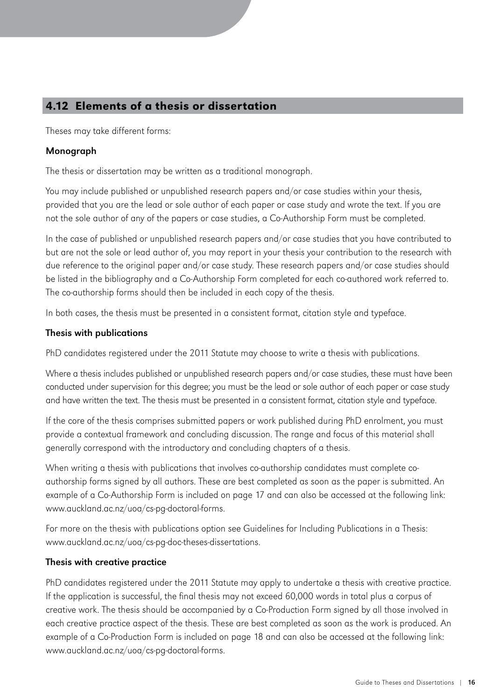# <span id="page-19-0"></span>4.12 Elements of a thesis or dissertation

Theses may take different forms:

#### Monograph

The thesis or dissertation may be written as a traditional monograph.

You may include published or unpublished research papers and/or case studies within your thesis, provided that you are the lead or sole author of each paper or case study and wrote the text. If you are not the sole author of any of the papers or case studies, a [Co-Authorship Form](http://www.auckland.ac.nz/webdav/site/central/shared/for/current-students/postgraduate-students/documents/policies-guidelines-forms/doctoral-forms/co-authorship-form.docx) must be completed.

In the case of published or unpublished research papers and/or case studies that you have contributed to but are not the sole or lead author of, you may report in your thesis your contribution to the research with due reference to the original paper and/or case study. These research papers and/or case studies should be listed in the bibliography and a [Co-Authorship Form](http://www.auckland.ac.nz/webdav/site/central/shared/for/current-students/postgraduate-students/documents/policies-guidelines-forms/doctoral-forms/co-authorship-form.docx) completed for each co-authored work referred to. The co-authorship forms should then be included in each copy of the thesis.

In both cases, the thesis must be presented in a consistent format, citation style and typeface.

#### Thesis with publications

PhD candidates registered under the 2011 Statute may choose to write a thesis with publications.

Where a thesis includes published or unpublished research papers and/or case studies, these must have been conducted under supervision for this degree; you must be the lead or sole author of each paper or case study and have written the text. The thesis must be presented in a consistent format, citation style and typeface.

If the core of the thesis comprises submitted papers or work published during PhD enrolment, you must provide a contextual framework and concluding discussion. The range and focus of this material shall generally correspond with the introductory and concluding chapters of a thesis.

When writing a thesis with publications that involves co-authorship candidates must complete coauthorship forms signed by all authors. These are best completed as soon as the paper is submitted. An example of a Co-Authorship Form is included on page 17 and can also be accessed at the following link: www.auckla[nd.ac.nz/uoa/cs-pg-do](http://www.auckland.ac.nz/webdav/site/central/shared/for/current-students/postgraduate-students/documents/policies-guidelines-forms/doctoral-forms/co-authorship-form.docx)ctoral-forms.

For more on the thesis with publications option see Guidelines for Including Publications in a Thesis: www.auckland.ac.nz/uoa/cs-pg-doc-theses-dissertat[ions.](http://www.auckland.ac.nz/webdav/site/central/shared/for/current-students/postgraduate-students/documents/policies-guidelines-forms/doctoral-policies-guidelines/guidelines-fo-including-publications-in-a-thesis.pdf) 

#### Thesis with creative practice

PhD candidates registered under the 2011 Statute may apply to undertake a thesis with creative practice. If the application is successful, the fin[al thesis may](http://www.auckland.ac.nz/webdav/site/central/shared/for/current-students/postgraduate-students/documents/policies-guidelines-forms/doctoral-policies-guidelines/2011-phd-statute-and-guidelines.pdf) not exceed 60,000 words in total plus a corpus of creative work. The thesis should be accompanied by a Co-Production Form signed by all those involved in each creative practice aspect of the thesis. These are b[est completed as so](http://www.auckland.ac.nz/webdav/site/central/shared/for/current-students/postgraduate-students/documents/policies-guidelines-forms/doctoral-forms/co-production-form.docx)on as the work is produced. An example of a Co-Production Form is included on page 18 and can also be accessed at the following link: www.aucklan[d.ac.nz/uoa/cs-pg-do](http://www.auckland.ac.nz/webdav/site/central/shared/for/current-students/postgraduate-students/documents/policies-guidelines-forms/doctoral-forms/co-production-form.docx)ctoral-forms.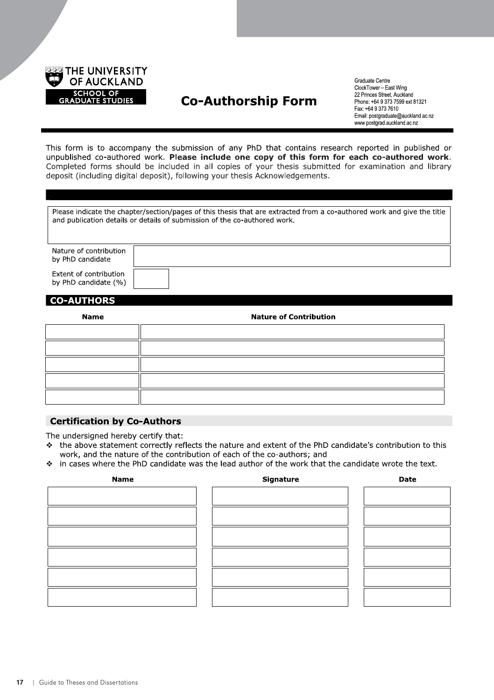

# **Co-Authorship Form**

Graduate Centre ClockTower-East Wing 22 Princes Street, Auckland<br>Phone: +64 9 373 7599 ext 81321 Fax: +64 9 373 7610 Email: postgraduate@auckland.ac.nz www.postgrad.auckland.ac.nz

This form is to accompany the submission of any PhD that contains research reported in published or unpublished co-authored work. Please include one copy of this form for each co-authored work. Completed forms should be included in all copies of your thesis submitted for examination and library deposit (including digital deposit), following your thesis Acknowledgements.

Please indicate the chapter/section/pages of this thesis that are extracted from a co-authored work and give the title and publication details or details of submission of the co-authored work.

Nature of contribution by PhD candidate

Extent of contribution by PhD candidate (%)

#### **CO-AUTHORS**

#### **Name**

#### **Nature of Contribution**

#### **Certification by Co-Authors**

The undersigned hereby certify that:

- In the above statement correctly reflects the nature and extent of the PhD candidate's contribution to this work, and the nature of the contribution of each of the co-authors; and
- \* in cases where the PhD candidate was the lead author of the work that the candidate wrote the text.

| Name | Signature | Date |
|------|-----------|------|
|      |           |      |
|      |           |      |
|      |           |      |
|      |           |      |
|      |           |      |
|      |           |      |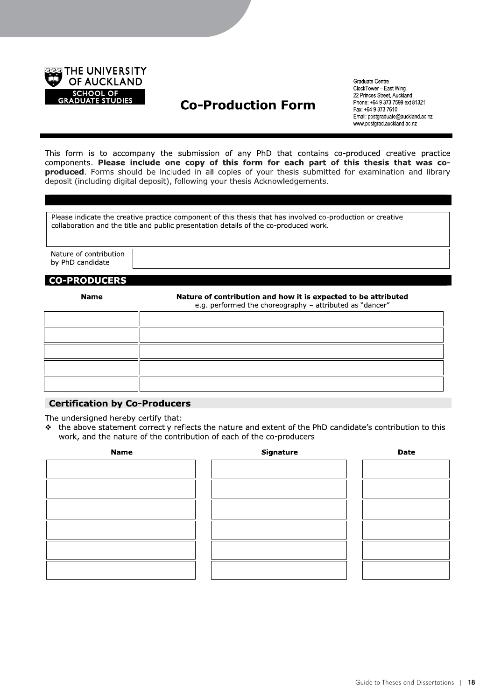

# **Co-Production Form**

Graduate Centre ClockTower-East Wing 22 Princes Street, Auckland Phone: +64 9 373 7599 ext 81321 Fax: +64 9 373 7610 Email: postgraduate@auckland.ac.nz www.postgrad.auckland.ac.nz

This form is to accompany the submission of any PhD that contains co-produced creative practice components. Please include one copy of this form for each part of this thesis that was coproduced. Forms should be included in all copies of your thesis submitted for examination and library deposit (including digital deposit), following your thesis Acknowledgements.

Please indicate the creative practice component of this thesis that has involved co-production or creative collaboration and the title and public presentation details of the co-produced work.

Nature of contribution by PhD candidate

#### **CO-PRODUCERS**

**Name** 

Nature of contribution and how it is expected to be attributed e.g. performed the choreography - attributed as "dancer"

#### **Certification by Co-Producers**

The undersigned hereby certify that:

❖ the above statement correctly reflects the nature and extent of the PhD candidate's contribution to this work, and the nature of the contribution of each of the co-producers

| Name | Signature | Date |
|------|-----------|------|
|      |           |      |
|      |           |      |
|      |           |      |
|      |           |      |
|      |           |      |
|      |           |      |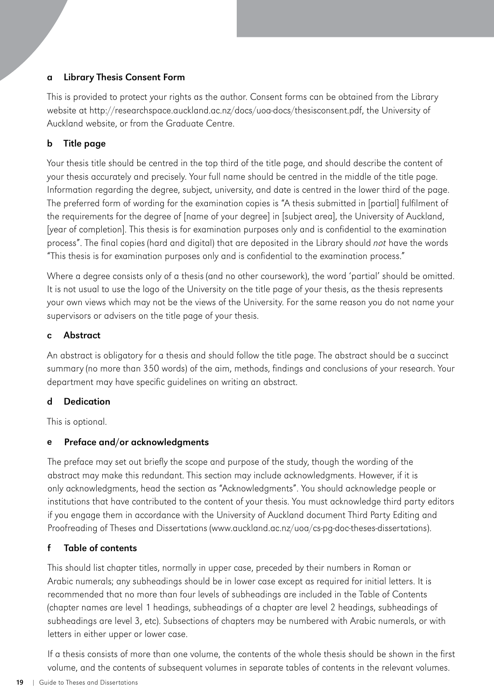#### <span id="page-22-0"></span>a Library Thesis Consent Form

[This is provided to protect your rights a](https://researchspace.auckland.ac.nz/docs/uoa-docs/thesisconsent.pdf)s the author. Consent forms can be obtained from the Library website at http://researchspace.auckland.ac.nz/docs/uoa-docs/thesisconsent.pdf, the University of Auckland website, or from the Graduate Centre.

#### b Title page

Your thesis title should be centred in the top third of the title page, and should describe the content of your thesis accurately and precisely. Your full name should be centred in the middle of the title page. Information regarding the degree, subject, university, and date is centred in the lower third of the page. The preferred form of wording for the examination copies is "A thesis submitted in [partial] fulfilment of the requirements for the degree of [name of your degree] in [subject area], the University of Auckland, [year of completion]. This thesis is for examination purposes only and is confidential to the examination process". The final copies (hard and digital) that are deposited in the Library should not have the words "This thesis is for examination purposes only and is confidential to the examination process."

Where a degree consists only of a thesis (and no other coursework), the word 'partial' should be omitted. It is not usual to use the logo of the University on the title page of your thesis, as the thesis represents your own views which may not be the views of the University. For the same reason you do not name your supervisors or advisers on the title page of your thesis.

#### **Abstract**

An abstract is obligatory for a thesis and should follow the title page. The abstract should be a succinct summary (no more than 350 words) of the aim, methods, findings and conclusions of your research. Your department may have specific guidelines on writing an abstract.

#### d Dedication

This is optional.

#### e Preface and/or acknowledgments

The preface may set out briefly the scope and purpose of the study, though the wording of the abstract may make this redundant. This section may include acknowledgments. However, if it is only acknowledgments, head the section as "Acknowledgments". You should acknowledge people or institutions that have contributed to the content of your thesis. You must acknowledge third party editors if you engage them in accordance with the University of Auckland document [Third Party Editing and](http://www.auckland.ac.nz/webdav/site/central/shared/for/current-students/postgraduate-students/documents/policies-guidelines-forms/doctoral-policies-guidelines/third-party-editing-and-proofreading-of-theses-and-dissertations.pdf)  [Proofreading of Theses and Dissertations](http://www.auckland.ac.nz/webdav/site/central/shared/for/current-students/postgraduate-students/documents/policies-guidelines-forms/doctoral-policies-guidelines/third-party-editing-and-proofreading-of-theses-and-dissertations.pdf) (www.auckland.ac.nz/uoa/cs-pg-doc-theses-dissertations).

#### f Table of contents

This should list chapter titles, normally in upper case, preceded by their numbers in Roman or Arabic numerals; any subheadings should be in lower case except as required for initial letters. It is recommended that no more than four levels of subheadings are included in the Table of Contents (chapter names are level 1 headings, subheadings of a chapter are level 2 headings, subheadings of subheadings are level 3, etc). Subsections of chapters may be numbered with Arabic numerals, or with letters in either upper or lower case.

If a thesis consists of more than one volume, the contents of the whole thesis should be shown in the first volume, and the contents of subsequent volumes in separate tables of contents in the relevant volumes.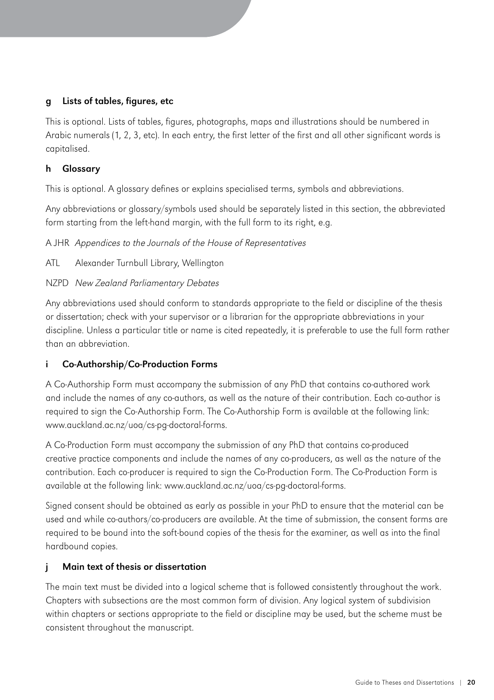#### <span id="page-23-0"></span>Lists of tables, figures, etc

This is optional. Lists of tables, figures, photographs, maps and illustrations should be numbered in Arabic numerals (1, 2, 3, etc). In each entry, the first letter of the first and all other significant words is capitalised.

#### h Glossary

This is optional. A glossary defines or explains specialised terms, symbols and abbreviations.

Any abbreviations or glossary/symbols used should be separately listed in this section, the abbreviated form starting from the left-hand margin, with the full form to its right, e.g.

A JHR Appendices to the Journals of the House of Representatives

ATL Alexander Turnbull Library, Wellington

#### NZPD New Zealand Parliamentary Debates

Any abbreviations used should conform to standards appropriate to the field or discipline of the thesis or dissertation; check with your supervisor or a librarian for the appropriate abbreviations in your discipline. Unless a particular title or name is cited repeatedly, it is preferable to use the full form rather than an abbreviation.

#### i Co-Authorship/Co-Production Forms

A [Co-Authorship Form](http://www.auckland.ac.nz/webdav/site/central/shared/for/current-students/postgraduate-students/documents/policies-guidelines-forms/doctoral-forms/co-authorship-form.docx) must accompany the submission of any PhD that contains co-authored work and include the names of any co-authors, as well as the nature of their contribution. Each co-author is required to sign the [Co-Authorship Form.](http://www.auckland.ac.nz/webdav/site/central/shared/for/current-students/postgraduate-students/documents/policies-guidelines-forms/doctoral-forms/co-authorship-form.docx) The [Co-Authorship Form](http://www.auckland.ac.nz/webdav/site/central/shared/for/current-students/postgraduate-students/documents/policies-guidelines-forms/doctoral-forms/co-authorship-form.docx) is available at the following link: www.auckland.ac.nz/uoa/cs-pg-doctoral-forms.

A [Co-Production Form m](http://www.auckland.ac.nz/webdav/site/central/shared/for/current-students/postgraduate-students/documents/policies-guidelines-forms/doctoral-forms/co-production-form.docx)ust accompany the submission of any PhD that contains co-produced creative practice components and include the names of any co-producers, as well as the nature of the contribution. Each co-producer is required to sign the [Co-Production Form](http://www.auckland.ac.nz/webdav/site/central/shared/for/current-students/postgraduate-students/documents/policies-guidelines-forms/doctoral-forms/co-production-form.docx). The [Co-Production Form](http://www.auckland.ac.nz/webdav/site/central/shared/for/current-students/postgraduate-students/documents/policies-guidelines-forms/doctoral-forms/co-production-form.docx) is available at the following link: www.auckland.ac.nz/uoa/cs-pg-doctoral-forms.

Signed consent should be obtained as early as possible in your PhD to ensure that the material can be used and while co-authors/co-producers are available. At the time of submission, the consent forms are required to be bound into the soft-bound copies of the thesis for the examiner, as well as into the final hardbound copies.

#### Main text of thesis or dissertation

The main text must be divided into a logical scheme that is followed consistently throughout the work. Chapters with subsections are the most common form of division. Any logical system of subdivision within chapters or sections appropriate to the field or discipline may be used, but the scheme must be consistent throughout the manuscript.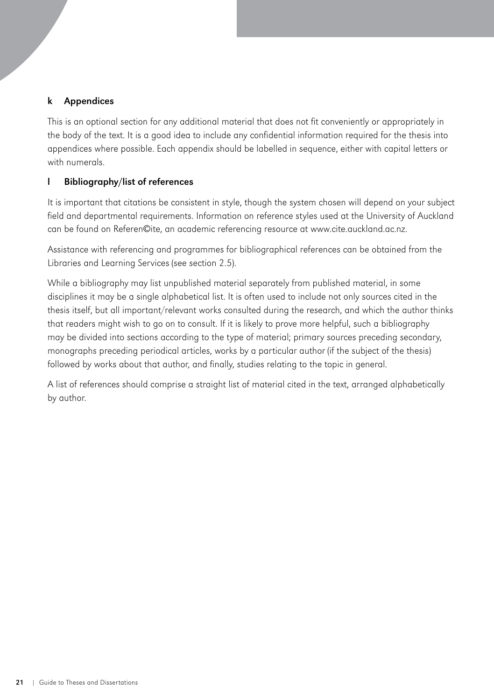#### <span id="page-24-0"></span>k Appendices

This is an optional section for any additional material that does not fit conveniently or appropriately in the body of the text. It is a good idea to include any confidential information required for the thesis into appendices where possible. Each appendix should be labelled in sequence, either with capital letters or with numerals.

#### l Bibliography/list of references

It is important that citations be consistent in style, though the system chosen will depend on your subject field and departmental requirements. Information on reference styles used at the University of Auckland can be found o[n Referen©ite,](http://www.cite.auckland.ac.nz/) an academic referencing resource at www.cite.auckland.ac.nz.

Assistance with referencing and programmes for bibliographical references can be obtained from the [Libraries and Learning Services \(see section 2.5\).](#page-6-0)

While a bibliography may list unpublished material separately from published material, in some disciplines it may be a single alphabetical list. It is often used to include not only sources cited in the thesis itself, but all important/relevant works consulted during the research, and which the author thinks that readers might wish to go on to consult. If it is likely to prove more helpful, such a bibliography may be divided into sections according to the type of material; primary sources preceding secondary, monographs preceding periodical articles, works by a particular author (if the subject of the thesis) followed by works about that author, and finally, studies relating to the topic in general.

A list of references should comprise a straight list of material cited in the text, arranged alphabetically by author.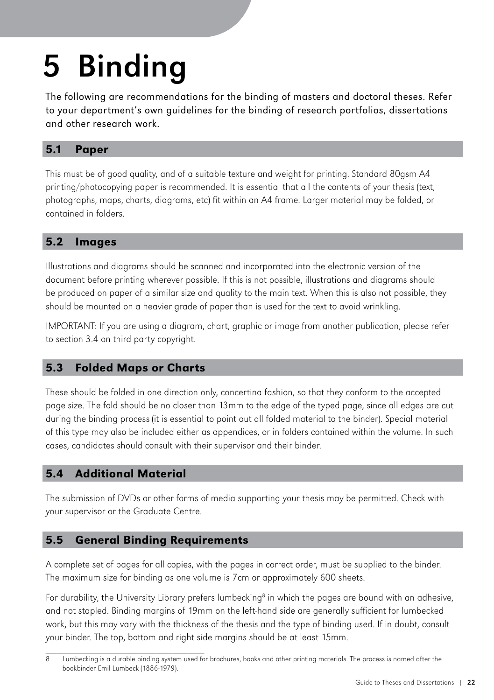# <span id="page-25-0"></span>5 Binding

The following are recommendations for the binding of masters and doctoral theses. Refer to your department's own guidelines for the binding of research portfolios, dissertations and other research work.

# 5.1 Paper

This must be of good quality, and of a suitable texture and weight for printing. Standard 80gsm A4 printing/photocopying paper is recommended. It is essential that all the contents of your thesis (text, photographs, maps, charts, diagrams, etc) fit within an A4 frame. Larger material may be folded, or contained in folders.

# 5.2 Images

Illustrations and diagrams should be scanned and incorporated into the electronic version of the document before printing wherever possible. If this is not possible, illustrations and diagrams should be produced on paper of a similar size and quality to the main text. When this is also not possible, they should be mounted on a heavier grade of paper than is used for the text to avoid wrinkling.

IMPORTANT: If you are using a diagram, chart, graphic or image from another publication, please refer to section 3.4 on third party copyright.

# 5.3 Folded Maps or Charts

These should be folded in one direction only, concertina fashion, so that they conform to the accepted page size. The fold should be no closer than 13mm to the edge of the typed page, since all edges are cut during the binding process (it is essential to point out all folded material to the binder). Special material of this type may also be included either as appendices, or in folders contained within the volume. In such cases, candidates should consult with their supervisor and their binder.

# 5.4 Additional Material

\_\_\_\_\_\_\_\_\_\_\_\_\_\_\_\_\_\_\_\_\_\_\_\_\_\_\_\_\_\_

The submission of DVDs or other forms of media supporting your thesis may be permitted. Check with your supervisor or the Graduate Centre.

# 5.5 General Binding Requirements

A complete set of pages for all copies, with the pages in correct order, must be supplied to the binder. The maximum size for binding as one volume is 7cm or approximately 600 sheets.

For durability, the University Library prefers lumbecking<sup>8</sup> in which the pages are bound with an adhesive, and not stapled. Binding margins of 19mm on the left-hand side are generally sufficient for lumbecked work, but this may vary with the thickness of the thesis and the type of binding used. If in doubt, consult your binder. The top, bottom and right side margins should be at least 15mm.

<sup>8</sup> Lumbecking is a durable binding system used for brochures, books and other printing materials. The process is named after the bookbinder Emil Lumbeck (1886-1979).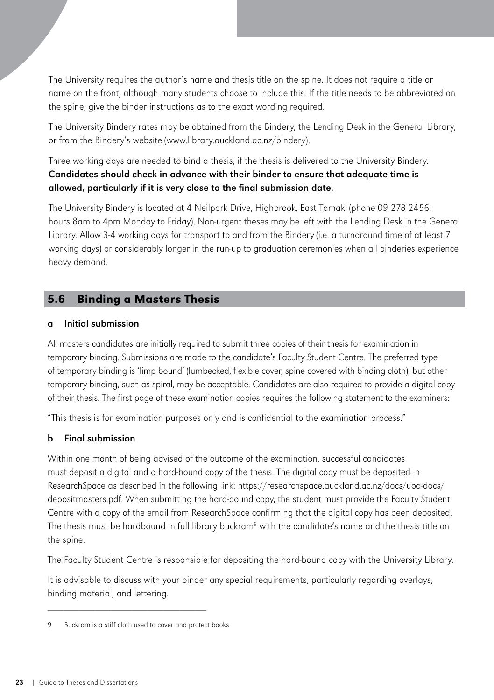<span id="page-26-0"></span>The University requires the author's name and thesis title on the spine. It does not require a title or name on the front, although many students choose to include this. If the title needs to be abbreviated on the spine, give the binder instructions as to the exact wording required.

The University Bindery rates may be obtained from the Bindery, the Lending Desk in the General Library, [or from the Bindery's w](http://www.library.auckland.ac.nz/bindery)ebsite (www.library.auckland.ac.nz/bindery).

### Three worki[ng days are need](http://www.library.auckland.ac.nz/bindery)ed to bind a thesis, if the thesis is delivered to the University Bindery. Candidates should check in advance with their binder to ensure that adequate time is allowed, particularly if it is very close to the final submission date.

The University Bindery is located at 4 Neilpark Drive, Highbrook, East Tamaki (phone 09 278 2456; hou[rs 8am to 4pm Mo](http://www.library.auckland.ac.nz/bindery)nday to Friday). Non-urgent theses may be left with the Lending Desk in the General Library. Allow 3-4 working days for transport to and from the Bindery (i.e. a turnaround time of at least 7 working days) or considerably longer in the run-up to graduation ceremonies when all binderies experience heavy demand.

# 5.6 Binding a Masters Thesis

#### a Initial submission

All masters candidates are initially required to submit three copies of their thesis for examination in temporary binding. Submissions are made to the candidate's [Faculty Student Centre.](http://www.auckland.ac.nz/uoa/faculty-student-centres) The preferred type of temporary binding is 'limp bound' (lumbecked, flexible cover, spine covered with binding cloth), but other temporary binding, such as spiral, may be acceptable. Candidates are also required to provide a digital copy of their thesis. The first page of these examination copies requires the following statement to the examiners:

"This thesis is for examination purposes only and is confidential to the examination process."

#### b Final submission

Within one month of being advised of the outcome of the examination, successful candidates must deposit a digital and a hard-bound copy of the thesis. The digital copy must be deposited in ResearchSpace as described in the following link: [https://researchspace.auckland.ac.nz/docs/uoa-docs/](https://researchspace.auckland.ac.nz/docs/uoa-docs/depositmasters.pdf) [depositmasters.pdf. W](https://researchspace.auckland.ac.nz/docs/uoa-docs/depositmasters.pdf)hen submitting the hard-bound copy, the student must provide the Faculty Student Centre with a copy of the email from ResearchSpace confirming that the digital copy has been deposited. The thesis must be hardbound in full library buckram<sup>9</sup> with the candidate's name and the thesis title on the spine.

The [Faculty Student Centre i](http://www.auckland.ac.nz/uoa/faculty-student-centres)s responsible for depositing the hard-bound copy with the University Library.

It is advisable to discuss with your binder any special requirements, particularly regarding overlays, binding material, and lettering.

\_\_\_\_\_\_\_\_\_\_\_\_\_\_\_\_\_\_\_\_\_\_\_\_\_\_\_\_\_\_

<sup>9</sup> Buckram is a stiff cloth used to cover and protect books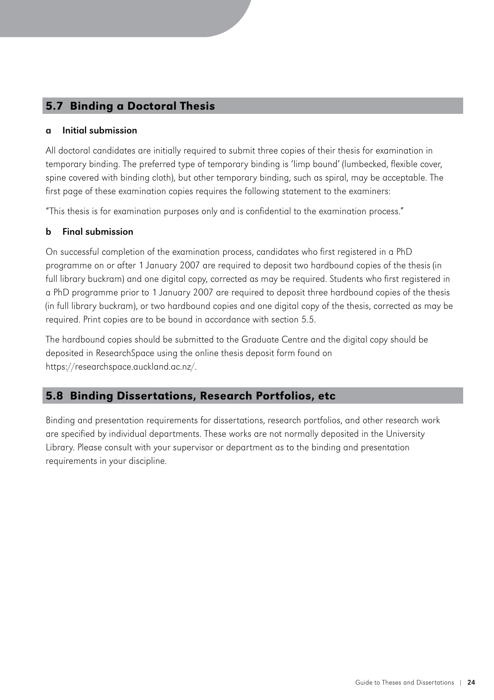# <span id="page-27-0"></span>5.7 Binding a Doctoral Thesis

#### Initial submission

All doctoral candidates are initially required to submit three copies of their thesis for examination in temporary binding. The preferred type of temporary binding is 'limp bound' (lumbecked, flexible cover, spine covered with binding cloth), but other temporary binding, such as spiral, may be acceptable. The first page of these examination copies requires the following statement to the examiners:

"This thesis is for examination purposes only and is confidential to the examination process."

#### b Final submission

On successful completion of the examination process, candidates who first registered in a PhD programme on or after 1 January 2007 are required to deposit two hardbound copies of the thesis (in full library buckram) and one digital copy, corrected as may be required. Students who first registered in a PhD programme prior to 1 January 2007 are required to deposit three hardbound copies of the thesis (in full library buckram), or two hardbound copies and one digital copy of the thesis, corrected as may be required. Print copies are to be bound in accordance with section 5.5.

The hardbound copies should be submitted to the Graduate Centre and the digital copy should be deposited in ResearchSpace using the online thesis deposit form found on https://researchspace.auckland.ac.nz/.

#### 5.8 Binding Dissertations, Research Portfolios, etc

Binding and presentation requirements for dissertations, research portfolios, and other research work are specified by individual departments. These works are not normally deposited in the University Library. Please consult with your supervisor or department as to the binding and presentation requirements in your discipline.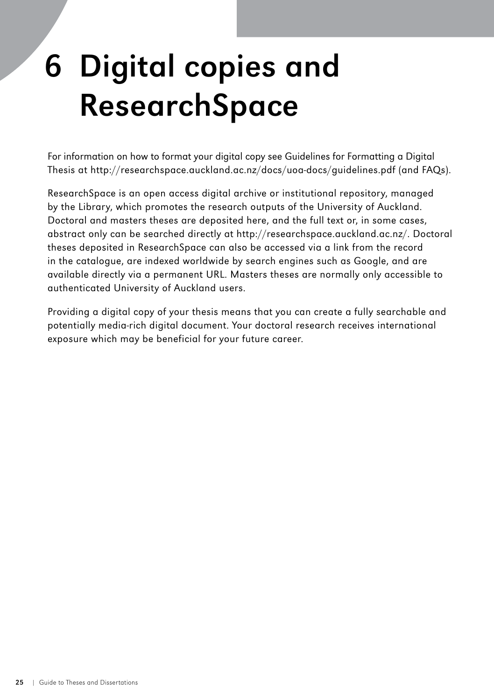# <span id="page-28-0"></span>6 Digital copies and ResearchSpace

For information on how to format your digital copy see Guidelines for Formatting a Digital Thesis at http://researchspace.auckland.ac.nz/docs/uoa-docs/guidelines.pdf (and FAQs).

ResearchSpace is an open access digital archive or institutional repository, managed by the Library, which promotes the research outputs of the University of Auckland. Doctoral and masters theses are deposited here, and the full text or, in some cases, abstract only can be searched directly at http://researchspace.auckland.ac.nz/. Doctoral theses deposited in ResearchSpace can also be accessed via a link from the record in the catalogue, are indexed worldwide by search engines such as Google, and are available directly via a permanent URL. Masters theses are normally only accessible to authenticated University of Auckland users.

Providing a digital copy of your thesis means that you can create a fully searchable and potentially media-rich digital document. Your doctoral research receives international exposure which may be beneficial for your future career.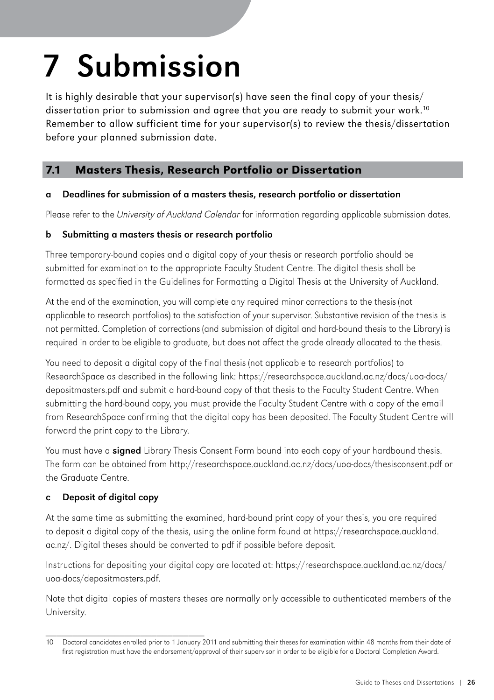# <span id="page-29-0"></span>7 Submission

It is highly desirable that your supervisor(s) have seen the final copy of your thesis/ dissertation prior to submission and agree that you are ready to submit your work.<sup>10</sup> Remember to allow sufficient time for your supervisor(s) to review the thesis/dissertation before your planned submission date.

# 7.1 Masters Thesis, Research Portfolio or Dissertation

#### a Deadlines for submission of a masters thesis, research portfolio or dissertation

Please refer to the [University of Auckland Calendar](http://www.calendar.auckland.ac.nz/) for information regarding applicable submission dates.

#### b Submitting a masters thesis or research portfolio

Three temporary-bound copies and a digital copy of your thesis or research portfolio should be submitted for examination to the appropriate [Faculty Student Centre](http://www.auckland.ac.nz/uoa/faculty-student-centres). The digital thesis shall be formatted as specified in th[e Guidelines for Formatting a Digital Thesis at](https://researchspace.auckland.ac.nz/docs/uoa-docs/guidelines.pdf) the University of Auckland.

At the end of the examination, you will complete any required minor corrections to the thesis (not applicable to research portfolios) to the satisfaction of your supervisor. Substantive revision of the thesis is not permitted. Completion of corrections (and submission of digital and hard-bound thesis to the Library) is required in order to be eligible to graduate, but does not affect the grade already allocated to the thesis.

You need to deposit a digital copy of the final thesis (not applicable to research portfolios) to ResearchSpace as described in the following link: [https://researchspace.auckland.ac.nz/docs/uoa-docs/](https://researchspace.auckland.ac.nz/docs/uoa-docs/depositmasters.pdf) [depositmasters.pdf a](https://researchspace.auckland.ac.nz/docs/uoa-docs/depositmasters.pdf)nd submit a hard-bound copy of that thesis to the [Faculty Student Centre.](http://www.auckland.ac.nz/uoa/faculty-student-centres) When submitting the hard-bound copy, you must provide the [Faculty Student Centre](http://www.auckland.ac.nz/uoa/faculty-student-centres) with a copy of the email from ResearchSpace confirming that the digital copy has been deposited. The [Faculty Student Centre](http://www.auckland.ac.nz/uoa/faculty-student-centres) will forward the print copy to the Library.

You must have a signed [Library Thesis Consent Form](https://researchspace.auckland.ac.nz/docs/uoa-docs/thesisconsent.pdf) bound into each copy of your hardbound thesis. The form can be obtained from http://researchspace.auckland.ac.nz/docs/uoa-docs/thesisconsent.pdf or the Graduate Centre.

#### c Deposit of digital copy

At the same time as submitting the examined, hard-bound print copy of your thesis, you are required to deposit a digital copy of the thesis, using the online form found at [https://researchspace.auckland.](https://researchspace.auckland.ac.nz/) [ac.nz/. D](https://researchspace.auckland.ac.nz/)igital theses should be converted to pdf if possible before deposit.

Instructions for depositing your digital copy are located at: [https://researchspace.auckland.ac.nz/docs/](https://researchspace.auckland.ac.nz/docs/uoa-docs/depositmasters.pdf) [uoa-docs/depositmasters.pdf.](https://researchspace.auckland.ac.nz/docs/uoa-docs/depositmasters.pdf)

Note that digital copies of masters theses are normally only accessible to authenticated members of the University.

\_\_\_\_\_\_\_\_\_\_\_\_\_\_\_\_\_\_\_\_\_\_\_\_\_\_\_\_\_\_ 10 Doctoral candidates enrolled prior to 1 January 2011 and submitting their theses for examination within 48 months from their date of first registration must have the endorsement/approval of their supervisor in order to be eligible for a [Doctoral Completion Award.](http://www.auckland.ac.nz/uoa/current-students/cs-scholarships-and-awards/cs-search-for-scholarships-and-awards?form=details&detailCode=802387)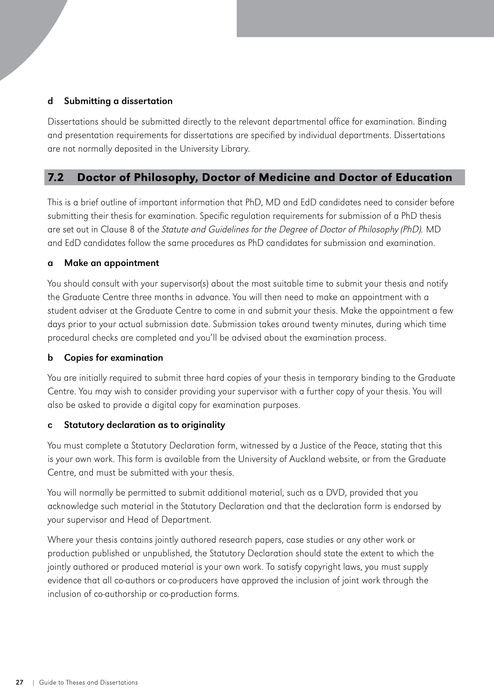#### <span id="page-30-0"></span>d Submitting a dissertation

Dissertations should be submitted directly to the relevant departmental office for examination. Binding and presentation requirements for dissertations are specified by individual departments. Dissertations are not normally deposited in the University Library.

# 7.2 Doctor of Philosophy, Doctor of Medicine and Doctor of Education

This is a brief outline of important information that PhD, MD and EdD candidates need to consider before submitting their thesis for examination. Specific regulation requirements for submission of a PhD thesis are set out in Clause 8 of the [Statute and Guidelines for the Degree of Doctor of Philosophy \(PhD\).](http://www.auckland.ac.nz/uoa/cs-pg-doc-phd-statute) MD and EdD candidates follow the same procedures as PhD candidates for submission and examination.

#### a Make an appointment

You should consult with your supervisor(s) about the most suitable time to submit your thesis and notify the Graduate Centre three months in advance. You will then need to make an appointment with a student adviser at the Graduate Centre to come in and submit your thesis. Make the appointment a few days prior to your actual submission date. Submission takes around twenty minutes, during which time procedural checks are completed and you'll be advised about the examination process.

#### b Copies for examination

You are initially required to submit three hard copies of your thesis in temporary binding to the Graduate Centre. You may wish to consider providing your supervisor with a further copy of your thesis. You will also be asked to provide a digital copy for examination purposes.

#### c Statutory declaration as to originality

You must complete a [Statutory Declaration form,](http://www.auckland.ac.nz/uoa/cs-pg-doctoral-forms) witnessed by a Justice of the Peace, stating that this is your own work. This form is available from the University of Auckland website, or from the Graduate Centre, and must be submitted with your thesis.

You will normally be permitted to submit additional material, such as a DVD, provided that you acknowledge such material in the [Statutory Declaration a](http://www.auckland.ac.nz/uoa/cs-pg-doctoral-forms)nd that the declaration form is endorsed by your supervisor and Head of Department.

Where your thesis contains jointly authored research papers, case studies or any other work or production published or unpublished, th[e Statutory Declaration](http://www.auckland.ac.nz/uoa/cs-pg-doctoral-forms) should state the extent to which the jointly authored or produced material is your own work. To satisfy copyright laws, you must supply evidence that all co-authors or co-producers have approved the inclusion of joint work through the inclusion of [co-authorship](http://www.auckland.ac.nz/webdav/site/central/shared/for/current-students/postgraduate-students/documents/policies-guidelines-forms/doctoral-forms/co-authorship-form.docx) or [co-production](http://www.auckland.ac.nz/webdav/site/central/shared/for/current-students/postgraduate-students/documents/policies-guidelines-forms/doctoral-forms/co-production-form.docx) forms.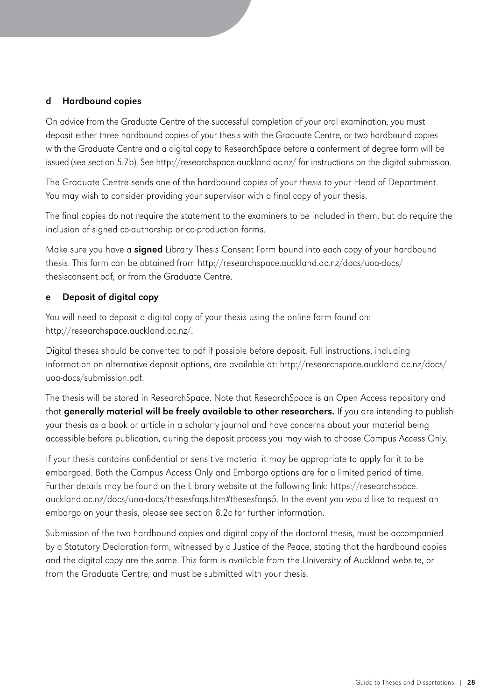#### <span id="page-31-0"></span>d Hardbound copies

On advice from the Graduate Centre of the successful completion of your oral examination, you must deposit either three hardbound copies of your thesis with the Graduate Centre, or two hardbound copies with the Graduate Centre and a digital copy to [ResearchSpace](https://researchspace.auckland.ac.nz/) before a conferment of degree form will be issued (see section 5.7b). See http://researchspace.auckland.ac.nz/ for instructions on the digital submission.

The Graduate Centre sends one of the hardbound copies of your thesis to your Head of Department. You may wish to consider providing your supervisor with a final copy of your thesis.

The final copies do not require the statement to the examiners to be included in them, but do require the inclusion of signed [co-authorship](http://www.auckland.ac.nz/webdav/site/central/shared/for/current-students/postgraduate-students/documents/policies-guidelines-forms/doctoral-forms/co-authorship-form.docx) or [co-production](http://www.auckland.ac.nz/webdav/site/central/shared/for/current-students/postgraduate-students/documents/policies-guidelines-forms/doctoral-forms/co-production-form.docx) forms.

Make sure you have a signed [Library Thesis Consent Form b](https://researchspace.auckland.ac.nz/docs/uoa-docs/thesisconsent.pdf)ound into each copy of your hardbound thesis. This form can be obtained from [http://researchspace.auckland.ac.nz/docs/uoa-docs/](https://researchspace.auckland.ac.nz/docs/uoa-docs/thesisconsent.pdf) [thesisconsent.pdf, o](https://researchspace.auckland.ac.nz/docs/uoa-docs/thesisconsent.pdf)r from the Graduate Centre.

#### e Deposit of digital copy

You will need to deposit a digital copy of your thesis using the online form found on: http://researchspace.auckland.ac.nz/.

Digital theses should be converted to pdf if possible before deposit. Full instructions, including information on alternative deposit options, are available at: [http://researchspace.auckland.ac.nz/docs/](https://researchspace.auckland.ac.nz/docs/uoa-docs/submission.pdf) [uoa-docs/submission.pdf.](https://researchspace.auckland.ac.nz/docs/uoa-docs/submission.pdf) 

The thesis will be stored in [ResearchSpace.](https://researchspace.auckland.ac.nz/) Note that ResearchSpace is an Open Access repository and that generally material will be freely available to other researchers. If you are intending to publish your thesis as a book or article in a scholarly journal and have concerns about your material being accessible before publication, during the deposit process you may wish to choose Campus Access Only.

If your thesis contains confidential or sensitive material it may be appropriate to apply for it to be embargoed. Both the Campus Access Only and Embargo options are for a limited period of time. Further details may be found on the Library website at the following link: [https://researchspace.](https://researchspace.auckland.ac.nz/docs/uoa-docs/thesesfaqs.htm) [auckland.ac.nz/docs/uoa-docs/thesesfaqs.htm#thesesfaqs5.](https://researchspace.auckland.ac.nz/docs/uoa-docs/thesesfaqs.htm) In the event you would like to request an embargo on your thesis, please se[e section 8.2c](#page-33-0) for further information.

Submission of the two hardbound copies and digital copy of the doctoral thesis, must be accompanied by a [Statutory Declaration form, w](http://www.auckland.ac.nz/uoa/cs-pg-doctoral-forms)itnessed by a Justice of the Peace, stating that the hardbound copies and the digital copy are the same. This form is available from t[he University of Auckland website,](www.auckland.ac.nz) or from the Graduate Centre, and must be submitted with your thesis.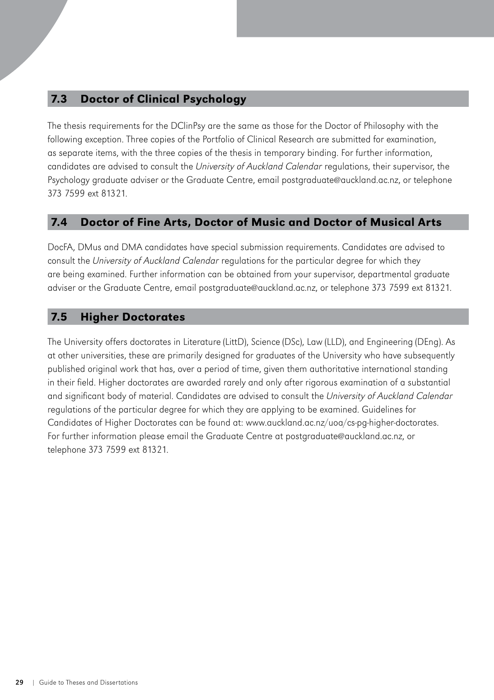### <span id="page-32-0"></span>7.3 Doctor of Clinical Psychology

The thesis requirements for the DClinPsy are the same as those for the Doctor of Philosophy with the following exception. Three copies of the Portfolio of Clinical Research are submitted for examination, as separate items, with the three copies of the thesis in temporary binding. For further information, candidates are advised to consult the [University of Auckland Calendar](http://www.calendar.auckland.ac.nz/) regulations, their supervisor, the Psychology graduate adviser or the Graduate Centre, email postgraduate@auckland.ac.nz, or telephone 373 7599 ext 81321.

# 7.4 Doctor of Fine Arts, Doctor of Music and Doctor of Musical Arts

DocFA, DMus and DMA candidates have special submission requirements. Candidates are advised to consult the [University of Auckland Calendar](http://www.calendar.auckland.ac.nz/) regulations for the particular degree for which they are being examined. Further information can be obtained from your supervisor, departmental graduate adviser or the Graduate Centre, email postgraduate@auckland.ac.nz, or telephone 373 7599 ext 81321.

### 7.5 Higher Doctorates

The University offers doctorates in Literature (LittD), Science (DSc), Law (LLD), and Engineering (DEng). As at other universities, these are primarily designed for graduates of the University who have subsequently published original work that has, over a period of time, given them authoritative international standing in their field. Higher doctorates are awarded rarely and only after rigorous examination of a substantial and significant body of material. Candidates are advised to consult the University of Auckland Calendar regulations of the particular degree for which they are applying to be examined. [Guidelines for](http://www.auckland.ac.nz/uoa/cs-pg-higher-doctorates)  [Candidates of Higher Doctorates c](http://www.auckland.ac.nz/uoa/cs-pg-higher-doctorates)an be found at: www.auckland.ac.nz/uoa/cs-pg-higher-doctorates. For further information please email the Graduate Centre at postgraduate@auckland.ac.nz, or telephone 373 7599 ext 81321.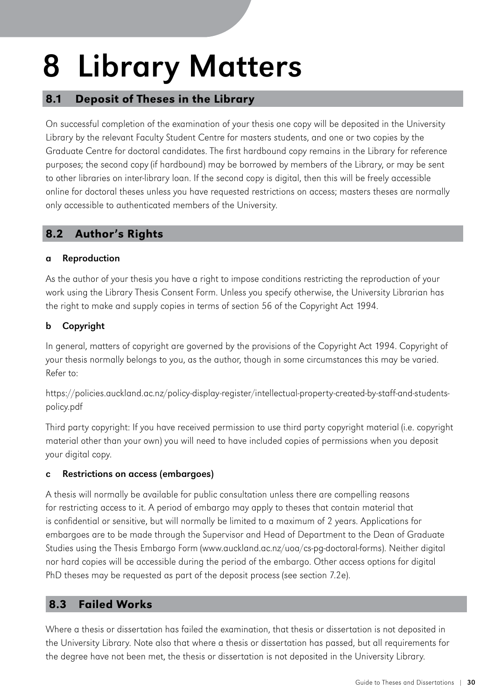# <span id="page-33-0"></span>8 Library Matters

# 8.1 Deposit of Theses in the Library

On successful completion of the examination of your thesis one copy will be deposited in the University Library by the relevant [Faculty Student Centre](http://www.auckland.ac.nz/uoa/faculty-student-centres) for masters students, and one or two copies by the Graduate Centre for doctoral candidates. The first hardbound copy remains in the Library for reference purposes; the second copy (if hardbound) may be borrowed by members of the Library, or may be sent to other libraries on inter-library loan. If the second copy is digital, then this will be freely accessible online for doctoral theses unless you have requested restrictions on access; masters theses are normally only accessible to authenticated members of the University.

# 8.2 Author's Rights

#### a Reproduction

As the author of your thesis you have a right to impose conditions restricting the reproduction of your work using the [Library Thesis Consent Form.](https://researchspace.auckland.ac.nz/docs/uoa-docs/thesisconsent.pdf) Unless you specify otherwise, the University Librarian has the right to make and supply copies in terms of [section 56 of the Copyright Act 1994.](http://www.legislation.govt.nz/act/public/1994/0143/latest/DLM345989.html)

#### b Copyright

In general, matters of copyright are governed by the provisions of the [Copyright Act 1994.](http://www.legislation.govt.nz/act/public/1994/0143/latest/DLM345634.html) Copyright of your thesis normally belongs to you, as the author, though in some circumstances this may be varied. Refer to:

https://policies.auckland.ac.nz/policy-display-register/intellectual-property-created-by-staff-and-studentspolicy.pdf

Third party copyright: If you have received permission to use third party copyright material (i.e. copyright material other than your own) you will need to have included copies of permissions when you deposit your digital copy.

#### c Restrictions on access (embargoes)

A thesis will normally be available for public consultation unless there are compelling reasons for restricting access to it. A period of embargo may apply to theses that contain material that is confidential or sensitive, but will normally be limited to a maximum of 2 years. Applications for embargoes are to be made through the Supervisor and Head of Department to the Dean of Graduate Studies using the [Thesis Embargo Form](http://www.auckland.ac.nz/webdav/site/central/shared/for/current-students/postgraduate-students/documents/policies-guidelines-forms/doctoral-forms/thesis-embargo.docx) (www.auckland.ac.nz/uoa/cs-pg-doctoral-forms). Neither digital nor hard copies will be accessible during the period of the embargo. Other access options for digital PhD theses may be requested as part of the deposit process (see section 7.2e).

# 8.3 Failed Works

Where a thesis or dissertation has failed the examination, that thesis or dissertation is not deposited in the University Library. Note also that where a thesis or dissertation has passed, but all requirements for the degree have not been met, the thesis or dissertation is not deposited in the University Library.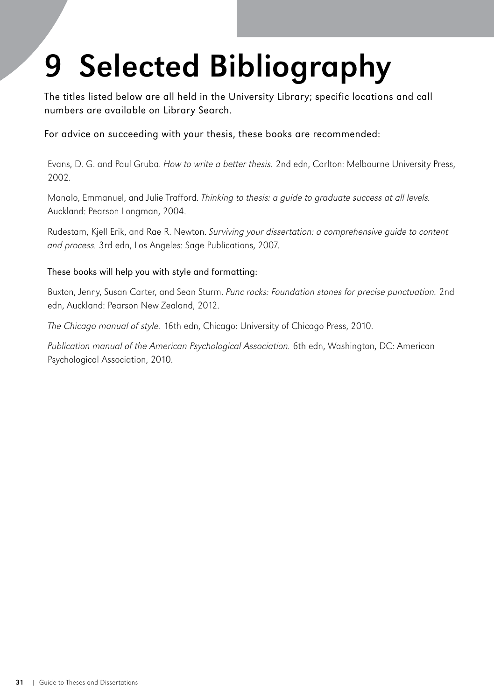# <span id="page-34-0"></span>9 Selected Bibliography

The titles listed below are all held in the University Library; specific locations and call numbers are available on Library Search.

For advice on succeeding with your thesis, these books are recommended:

Evans, D. G. and Paul Gruba. How to write a better thesis. 2nd edn, Carlton: Melbourne University Press, 2002.

Manalo, Emmanuel, and Julie Trafford. Thinking to thesis: a guide to graduate success at all levels. Auckland: Pearson Longman, 2004.

Rudestam, Kjell Erik, and Rae R. Newton. Surviving your dissertation: a comprehensive guide to content and process. 3rd edn, Los Angeles: Sage Publications, 2007.

#### These books will help you with style and formatting:

Buxton, Jenny, Susan Carter, and Sean Sturm. Punc rocks: Foundation stones for precise punctuation. 2nd edn, Auckland: Pearson New Zealand, 2012.

The Chicago manual of style. 16th edn, Chicago: University of Chicago Press, 2010.

Publication manual of the American Psychological Association. 6th edn, Washington, DC: American Psychological Association, 2010.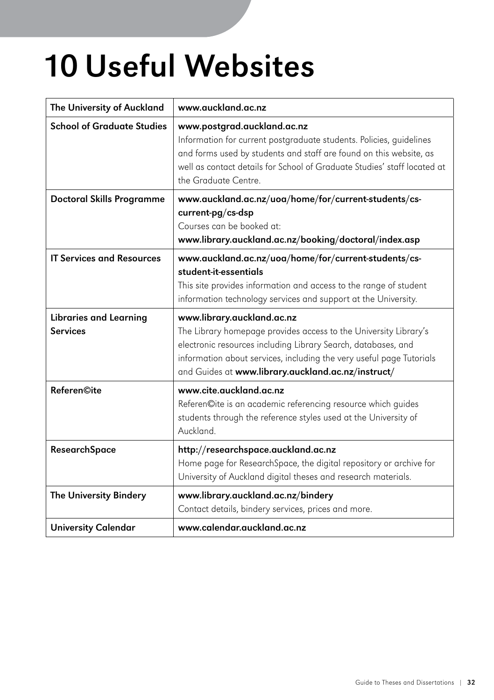# <span id="page-35-0"></span>10 Useful Websites

| The University of Auckland                       | www.auckland.ac.nz                                                                                                                                                                                                                                                                            |  |
|--------------------------------------------------|-----------------------------------------------------------------------------------------------------------------------------------------------------------------------------------------------------------------------------------------------------------------------------------------------|--|
| <b>School of Graduate Studies</b>                | www.postgrad.auckland.ac.nz<br>Information for current postgraduate students. Policies, guidelines<br>and forms used by students and staff are found on this website, as<br>well as contact details for School of Graduate Studies' staff located at<br>the Graduate Centre.                  |  |
| <b>Doctoral Skills Programme</b>                 | www.auckland.ac.nz/uoa/home/for/current-students/cs-<br>current-pg/cs-dsp<br>Courses can be booked at:<br>www.library.auckland.ac.nz/booking/doctoral/index.asp                                                                                                                               |  |
| <b>IT Services and Resources</b>                 | www.auckland.ac.nz/uoa/home/for/current-students/cs-<br>student-it-essentials<br>This site provides information and access to the range of student<br>information technology services and support at the University.                                                                          |  |
| <b>Libraries and Learning</b><br><b>Services</b> | www.library.auckland.ac.nz<br>The Library homepage provides access to the University Library's<br>electronic resources including Library Search, databases, and<br>information about services, including the very useful page Tutorials<br>and Guides at www.library.auckland.ac.nz/instruct/ |  |
| Referen©ite                                      | www.cite.auckland.ac.nz<br>Referen©ite is an academic referencing resource which guides<br>students through the reference styles used at the University of<br>Auckland.                                                                                                                       |  |
| <b>ResearchSpace</b>                             | http://researchspace.auckland.ac.nz<br>Home page for ResearchSpace, the digital repository or archive for<br>University of Auckland digital theses and research materials.                                                                                                                    |  |
| The University Bindery                           | www.library.auckland.ac.nz/bindery<br>Contact details, bindery services, prices and more.                                                                                                                                                                                                     |  |
| <b>University Calendar</b>                       | www.calendar.auckland.ac.nz                                                                                                                                                                                                                                                                   |  |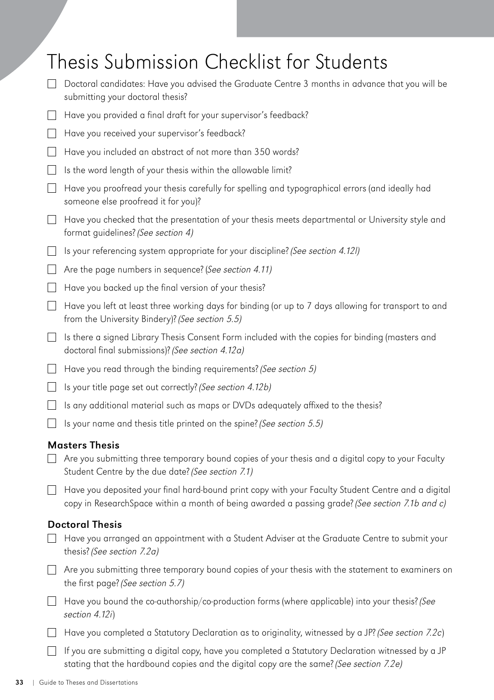# <span id="page-36-0"></span>Thesis Submission Checklist for Students

- Doctoral candidates: Have you advised the Graduate Centre 3 months in advance that you will be submitting your doctoral thesis?
- $\Box$  Have you provided a final draft for your supervisor's feedback?
- $\Box$  Have you received your supervisor's feedback?
- $\Box$  Have you included an abstract of not more than 350 words?
- $\Box$  Is the word length of your thesis within the allowable limit?
- $\Box$  Have you proofread your thesis carefully for spelling and typographical errors (and ideally had someone else proofread it for you)?
- $\Box$  Have you checked that the presentation of your thesis meets departmental or University style and format guidelines? [\(See section 4\)](#page-16-0)
- $\Box$  Is your referencing system appropriate for your discipline? [\(See section 4.12l\)](#page-24-0)
- $\Box$  Are the page numbers in sequence? ([See section 4.11\)](#page-18-0)
- $\Box$  Have you backed up the final version of your thesis?
- $\Box$  Have you left at least three working days for binding (or up to 7 days allowing for transport to and from the University Bindery)? [\(See section 5.5\)](#page-25-0)
- $\Box$  Is there a signed Library Thesis Consent Form included with the copies for binding (masters and doctoral final submissions)? [\(See section 4.12a\)](#page-22-0)
- $\Box$  Have you read through the binding requirements? [\(See section 5\)](#page-25-0)
- Is your title page set out correctly? (See section  $4.12b$ )
- $\Box$  Is any additional material such as maps or DVDs adequately affixed to the thesis?
- $\Box$  Is your name and thesis title printed on the spine? [\(See section 5.5\)](#page-25-0)

#### Masters Thesis

- $\Box$  Are you submitting three temporary bound copies of your thesis and a digital copy to your Faculty Student Centre by the due date? [\(See section 7.1\)](#page-29-0)
- Have you deposited your final hard-bound print copy with your Faculty Student Centre and a digital copy in ResearchSpace within a month of being awarded a passing grade? [\(See section 7.1b and c\)](#page-29-0)

#### Doctoral Thesis

- Have you arranged an appointment with a Student Adviser at the Graduate Centre to submit your thesis? [\(See section 7.2a\)](#page-30-0)
- $\Box$  Are you submitting three temporary bound copies of your thesis with the statement to examiners on the first page? [\(See section 5.7\)](#page-27-0)
- $\Box$  Have you bound the co-authorship/co-production forms (where applicable) into your thesis? (See [section 4.12i](#page-23-0))
- $\Box$  Have you completed a Statutory Declaration as to originality, witnessed by a JP? [\(See section 7.2c](#page-30-0))
- If you are submitting a digital copy, have you completed a Statutory Declaration witnessed by a JP stating that the hardbound copies and the digital copy are the same? [\(See section 7.2e\)](#page-31-0)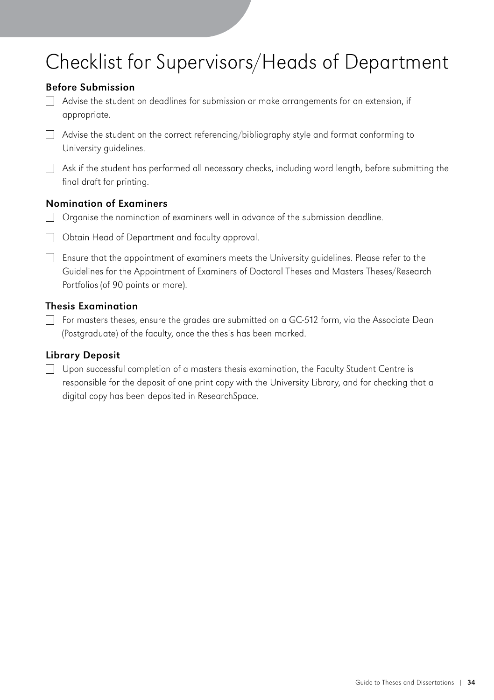# <span id="page-37-0"></span>Checklist for Supervisors/Heads of Department

#### Before Submission

 $\Box$  Advise the student on deadlines for submission or make arrangements for an extension, if appropriate.

 $\Box$  Advise the student on the correct referencing/bibliography style and format conforming to University guidelines.

Ask if the student has performed all necessary checks, including word length, before submitting the final draft for printing.

#### Nomination of Examiners

 $\Box$  Organise the nomination of examiners well in advance of the submission deadline.

Obtain Head of Department and faculty approval.

Ensure that the appointment of examiners meets the University guidelines. Please refer to the [Guidelines for the Appointment of Examiners of Doctoral Theses and Masters Theses/Research](http://www.auckland.ac.nz/webdav/site/central/shared/for/current-students/postgraduate-students/documents/policies-guidelines-forms/guidelines-for-the-appointment-of-examiners.pdf)  Portfolios (of 90 points or more).

#### Thesis Examination

For masters theses, ensure the grades are submitted on a [GC-512 form,](http://www.auckland.ac.nz/uoa/cs-pg-non-doctoral-forms) via the Associate Dean (Postgraduate) of the faculty, once the thesis has been marked.

#### Library Deposit

Upon successful completion of a masters thesis examination, the Faculty Student Centre is responsible for the deposit of one print copy with the University Library, and for checking that a digital copy has been deposited in ResearchSpace.